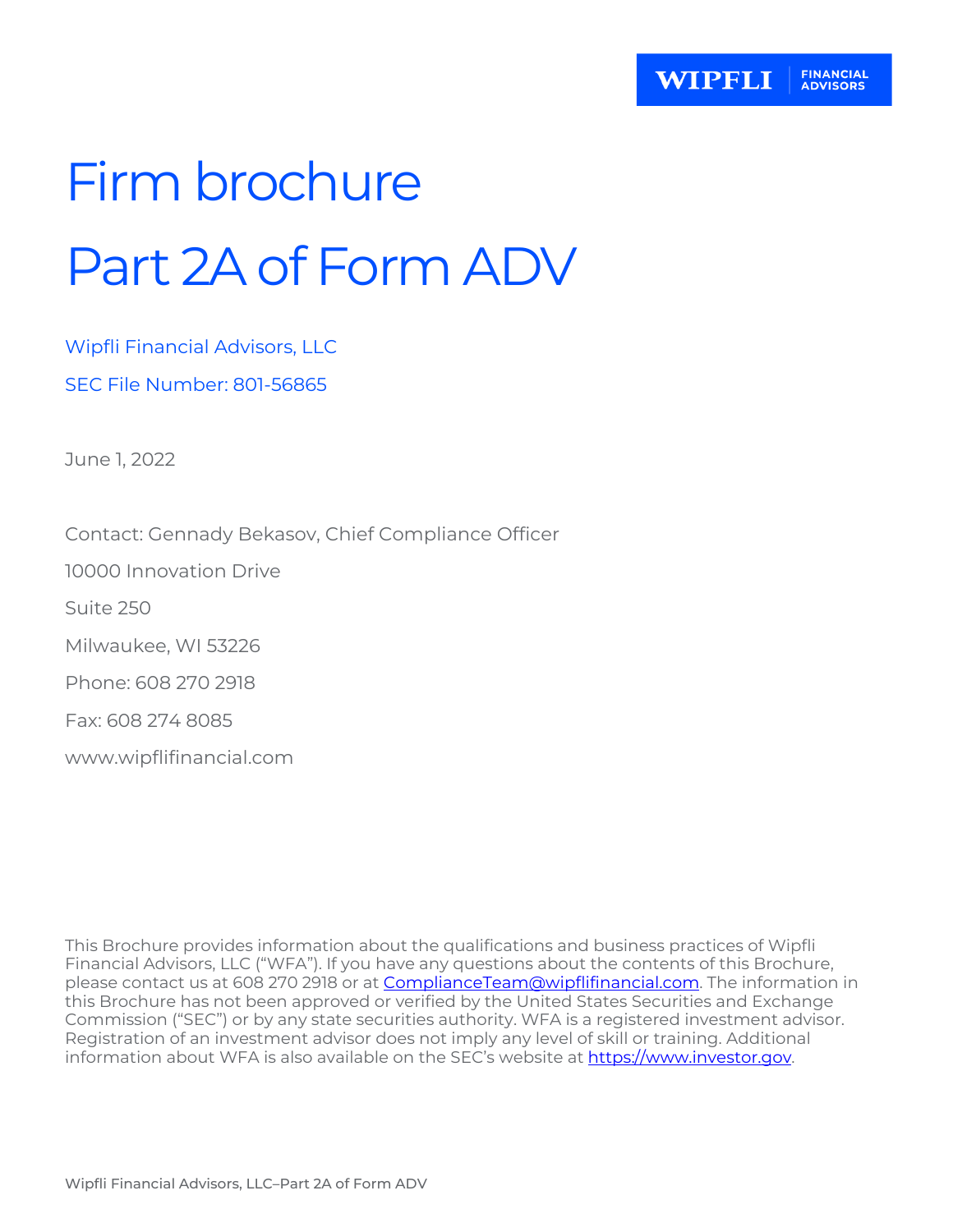# Firm brochure Part 2A of Form ADV

Wipfli Financial Advisors, LLC SEC File Number: 801-56865

June 1, 2022

Contact: Gennady Bekasov, Chief Compliance Officer

10000 Innovation Drive

Suite 250

Milwaukee, WI 53226

Phone: 608 270 2918

Fax: 608 274 8085

[www.wipflifinancial.com](http://www.wipflifinancial.com/)

This Brochure provides information about the qualifications and business practices of Wipfli Financial Advisors, LLC ("WFA"). If you have any questions about the contents of this Brochure, please contact us at 608 270 2918 or at **ComplianceTeam@wipflifinancial.com**. The information in this Brochure has not been approved or verified by the United States Securities and Exchange Commission ("SEC") or by any state securities authority. WFA is a registered investment advisor. Registration of an investment advisor does not imply any level of skill or training. Additional information about WFA is also available on the SEC's website at [https://www.investor.gov.](https://www.investor.gov/)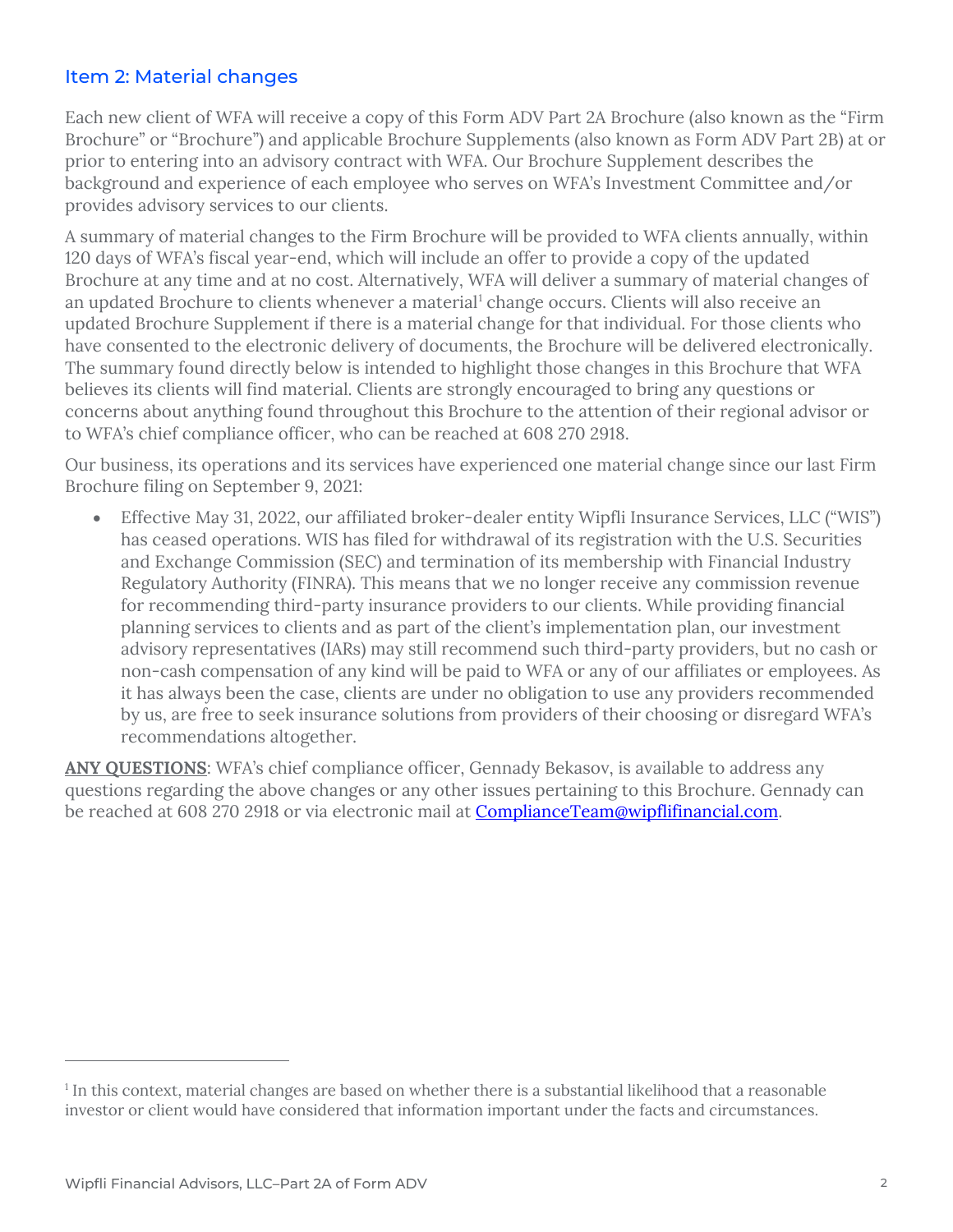## Item 2: Material changes

Each new client of WFA will receive a copy of this Form ADV Part 2A Brochure (also known as the "Firm Brochure" or "Brochure") and applicable Brochure Supplements (also known as Form ADV Part 2B) at or prior to entering into an advisory contract with WFA. Our Brochure Supplement describes the background and experience of each employee who serves on WFA's Investment Committee and/or provides advisory services to our clients.

A summary of material changes to the Firm Brochure will be provided to WFA clients annually, within 120 days of WFA's fiscal year-end, which will include an offer to provide a copy of the updated Brochure at any time and at no cost. Alternatively, WFA will deliver a summary of material changes of an updated Brochure to clients whenever a material<sup>[1](#page-1-0)</sup> change occurs. Clients will also receive an updated Brochure Supplement if there is a material change for that individual. For those clients who have consented to the electronic delivery of documents, the Brochure will be delivered electronically. The summary found directly below is intended to highlight those changes in this Brochure that WFA believes its clients will find material. Clients are strongly encouraged to bring any questions or concerns about anything found throughout this Brochure to the attention of their regional advisor or to WFA's chief compliance officer, who can be reached at 608 270 2918.

Our business, its operations and its services have experienced one material change since our last Firm Brochure filing on September 9, 2021:

• Effective May 31, 2022, our affiliated broker-dealer entity Wipfli Insurance Services, LLC ("WIS") has ceased operations. WIS has filed for withdrawal of its registration with the U.S. Securities and Exchange Commission (SEC) and termination of its membership with Financial Industry Regulatory Authority (FINRA). This means that we no longer receive any commission revenue for recommending third-party insurance providers to our clients. While providing financial planning services to clients and as part of the client's implementation plan, our investment advisory representatives (IARs) may still recommend such third-party providers, but no cash or non-cash compensation of any kind will be paid to WFA or any of our affiliates or employees. As it has always been the case, clients are under no obligation to use any providers recommended by us, are free to seek insurance solutions from providers of their choosing or disregard WFA's recommendations altogether.

ANY QUESTIONS: WFA's chief compliance officer, Gennady Bekasov, is available to address any questions regarding the above changes or any other issues pertaining to this Brochure. Gennady can be reached at 608 270 2918 or via electronic mail at [ComplianceTeam@wipflifinancial.com.](mailto:ComplianceTeam@wipflifinancial.com)

<span id="page-1-0"></span><sup>&</sup>lt;sup>1</sup> In this context, material changes are based on whether there is a substantial likelihood that a reasonable investor or client would have considered that information important under the facts and circumstances.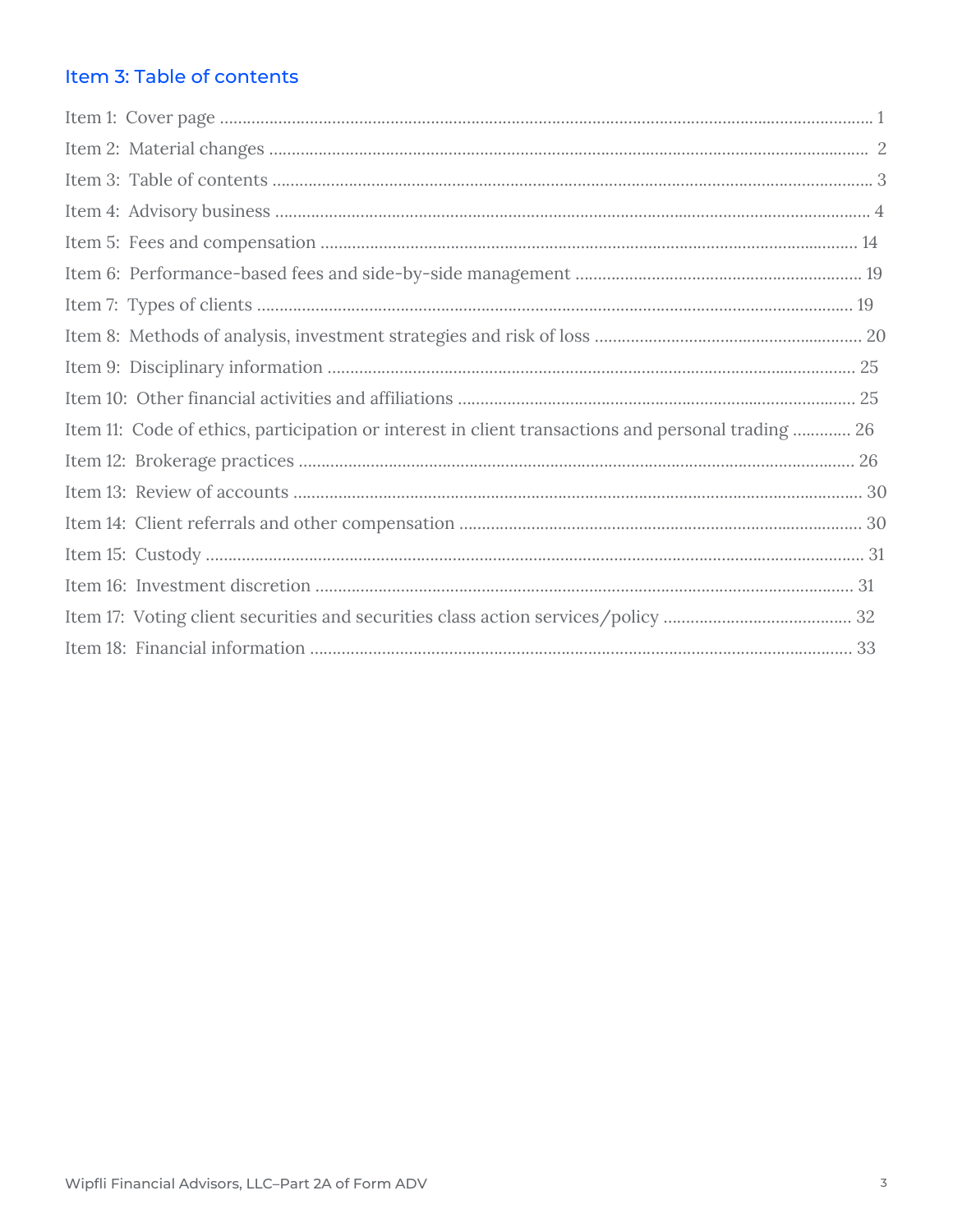## Item 3: Table of contents

| Item 11: Code of ethics, participation or interest in client transactions and personal trading  26 |  |
|----------------------------------------------------------------------------------------------------|--|
|                                                                                                    |  |
|                                                                                                    |  |
|                                                                                                    |  |
|                                                                                                    |  |
|                                                                                                    |  |
|                                                                                                    |  |
|                                                                                                    |  |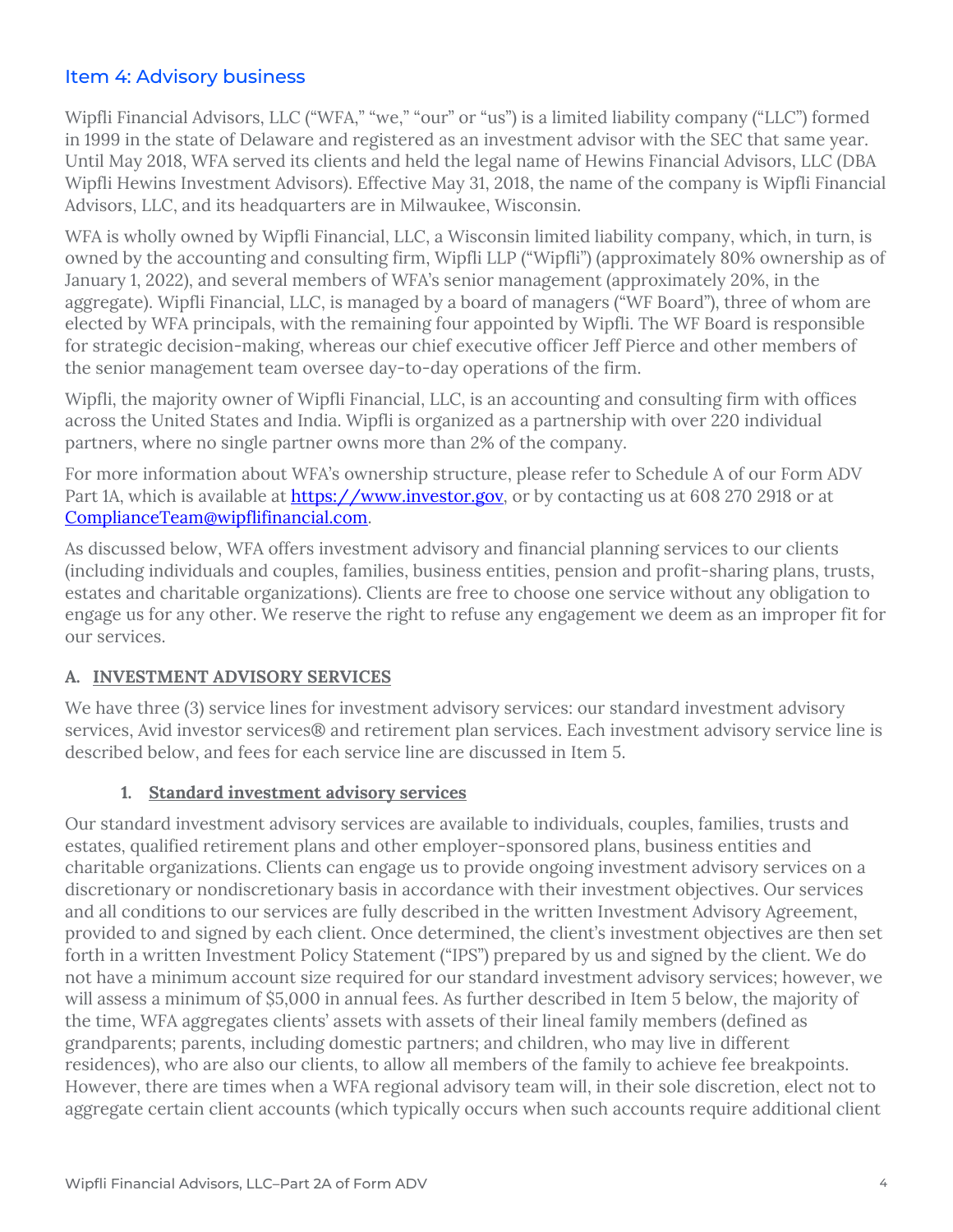## Item 4: Advisory business

Wipfli Financial Advisors, LLC ("WFA," "we," "our" or "us") is a limited liability company ("LLC") formed in 1999 in the state of Delaware and registered as an investment advisor with the SEC that same year. Until May 2018, WFA served its clients and held the legal name of Hewins Financial Advisors, LLC (DBA Wipfli Hewins Investment Advisors). Effective May 31, 2018, the name of the company is Wipfli Financial Advisors, LLC, and its headquarters are in Milwaukee, Wisconsin.

WFA is wholly owned by Wipfli Financial, LLC, a Wisconsin limited liability company, which, in turn, is owned by the accounting and consulting firm, Wipfli LLP ("Wipfli") (approximately 80% ownership as of January 1, 2022), and several members of WFA's senior management (approximately 20%, in the aggregate). Wipfli Financial, LLC, is managed by a board of managers ("WF Board"), three of whom are elected by WFA principals, with the remaining four appointed by Wipfli. The WF Board is responsible for strategic decision-making, whereas our chief executive officer Jeff Pierce and other members of the senior management team oversee day-to-day operations of the firm.

Wipfli, the majority owner of Wipfli Financial, LLC, is an accounting and consulting firm with offices across the United States and India. Wipfli is organized as a partnership with over 220 individual partners, where no single partner owns more than 2% of the company.

For more information about WFA's ownership structure, please refer to Schedule A of our Form ADV Part 1A, which is available at [https://www.investor.gov,](https://www.investor.gov/) or by contacting us at 608 270 2918 or at [ComplianceTeam@wipflifinancial.com.](mailto:ComplianceTeam@wipflifinancial.com)

As discussed below, WFA offers investment advisory and financial planning services to our clients (including individuals and couples, families, business entities, pension and profit-sharing plans, trusts, estates and charitable organizations). Clients are free to choose one service without any obligation to engage us for any other. We reserve the right to refuse any engagement we deem as an improper fit for our services.

## **A. INVESTMENT ADVISORY SERVICES**

We have three (3) service lines for investment advisory services: our standard investment advisory services, Avid investor services® and retirement plan services. Each investment advisory service line is described below, and fees for each service line are discussed in Item 5.

## **1. Standard investment advisory services**

Our standard investment advisory services are available to individuals, couples, families, trusts and estates, qualified retirement plans and other employer-sponsored plans, business entities and charitable organizations. Clients can engage us to provide ongoing investment advisory services on a discretionary or nondiscretionary basis in accordance with their investment objectives. Our services and all conditions to our services are fully described in the written Investment Advisory Agreement, provided to and signed by each client. Once determined, the client's investment objectives are then set forth in a written Investment Policy Statement ("IPS") prepared by us and signed by the client. We do not have a minimum account size required for our standard investment advisory services; however, we will assess a minimum of \$5,000 in annual fees. As further described in Item 5 below, the majority of the time, WFA aggregates clients' assets with assets of their lineal family members (defined as grandparents; parents, including domestic partners; and children, who may live in different residences), who are also our clients, to allow all members of the family to achieve fee breakpoints. However, there are times when a WFA regional advisory team will, in their sole discretion, elect not to aggregate certain client accounts (which typically occurs when such accounts require additional client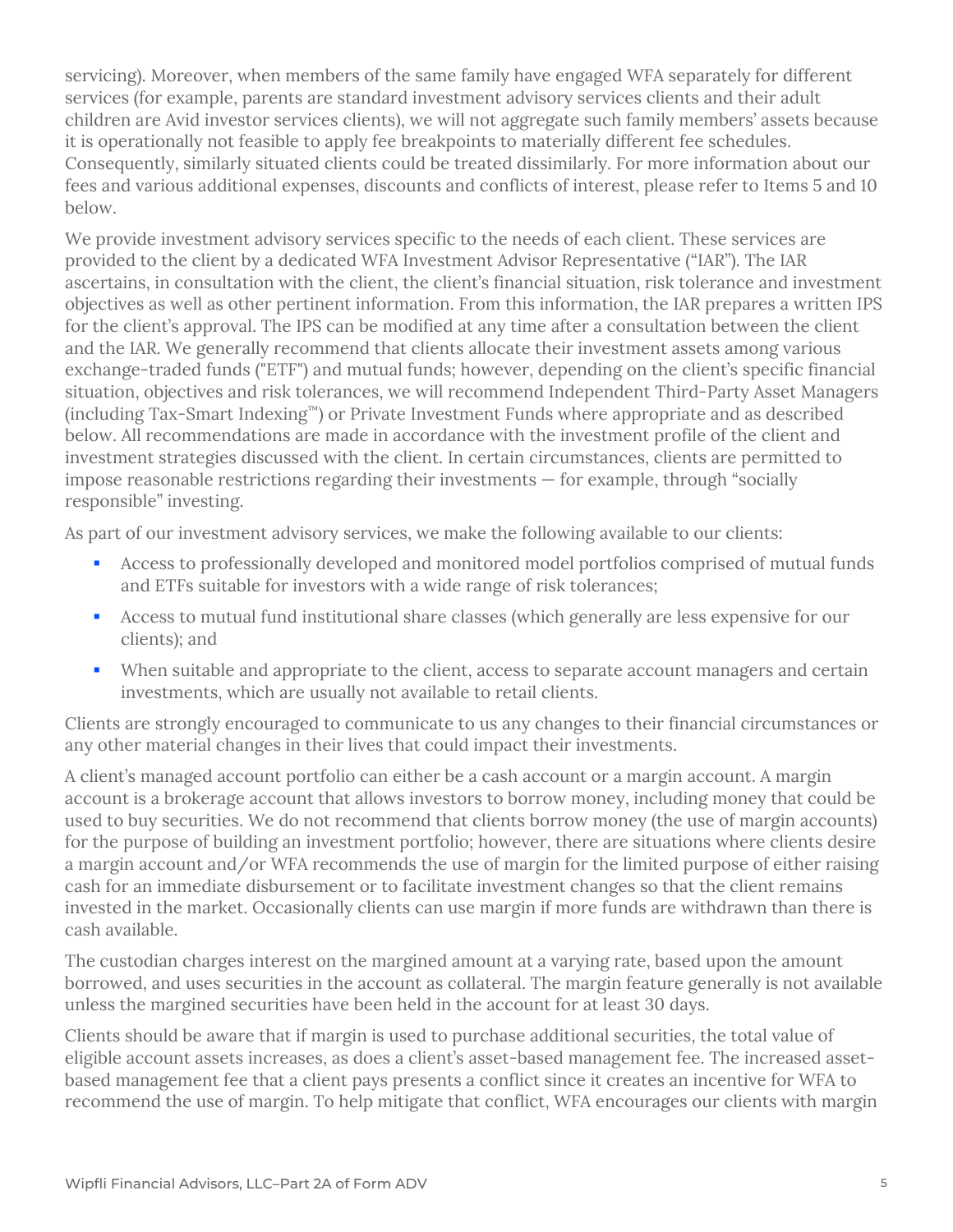servicing). Moreover, when members of the same family have engaged WFA separately for different services (for example, parents are standard investment advisory services clients and their adult children are Avid investor services clients), we will not aggregate such family members' assets because it is operationally not feasible to apply fee breakpoints to materially different fee schedules. Consequently, similarly situated clients could be treated dissimilarly. For more information about our fees and various additional expenses, discounts and conflicts of interest, please refer to Items 5 and 10 below.

We provide investment advisory services specific to the needs of each client. These services are provided to the client by a dedicated WFA Investment Advisor Representative ("IAR"). The IAR ascertains, in consultation with the client, the client's financial situation, risk tolerance and investment objectives as well as other pertinent information. From this information, the IAR prepares a written IPS for the client's approval. The IPS can be modified at any time after a consultation between the client and the IAR. We generally recommend that clients allocate their investment assets among various exchange-traded funds ("ETF") and mutual funds; however, depending on the client's specific financial situation, objectives and risk tolerances, we will recommend Independent Third-Party Asset Managers (including Tax-Smart Indexing™) or Private Investment Funds where appropriate and as described below. All recommendations are made in accordance with the investment profile of the client and investment strategies discussed with the client. In certain circumstances, clients are permitted to impose reasonable restrictions regarding their investments — for example, through "socially responsible" investing.

As part of our investment advisory services, we make the following available to our clients:

- Access to professionally developed and monitored model portfolios comprised of mutual funds and ETFs suitable for investors with a wide range of risk tolerances;
- Access to mutual fund institutional share classes (which generally are less expensive for our clients); and
- When suitable and appropriate to the client, access to separate account managers and certain investments, which are usually not available to retail clients.

Clients are strongly encouraged to communicate to us any changes to their financial circumstances or any other material changes in their lives that could impact their investments.

A client's managed account portfolio can either be a cash account or a margin account. A margin account is a brokerage account that allows investors to borrow money, including money that could be used to buy securities. We do not recommend that clients borrow money (the use of margin accounts) for the purpose of building an investment portfolio; however, there are situations where clients desire a margin account and/or WFA recommends the use of margin for the limited purpose of either raising cash for an immediate disbursement or to facilitate investment changes so that the client remains invested in the market. Occasionally clients can use margin if more funds are withdrawn than there is cash available.

The custodian charges interest on the margined amount at a varying rate, based upon the amount borrowed, and uses securities in the account as collateral. The margin feature generally is not available unless the margined securities have been held in the account for at least 30 days.

Clients should be aware that if margin is used to purchase additional securities, the total value of eligible account assets increases, as does a client's asset-based management fee. The increased assetbased management fee that a client pays presents a conflict since it creates an incentive for WFA to recommend the use of margin. To help mitigate that conflict, WFA encourages our clients with margin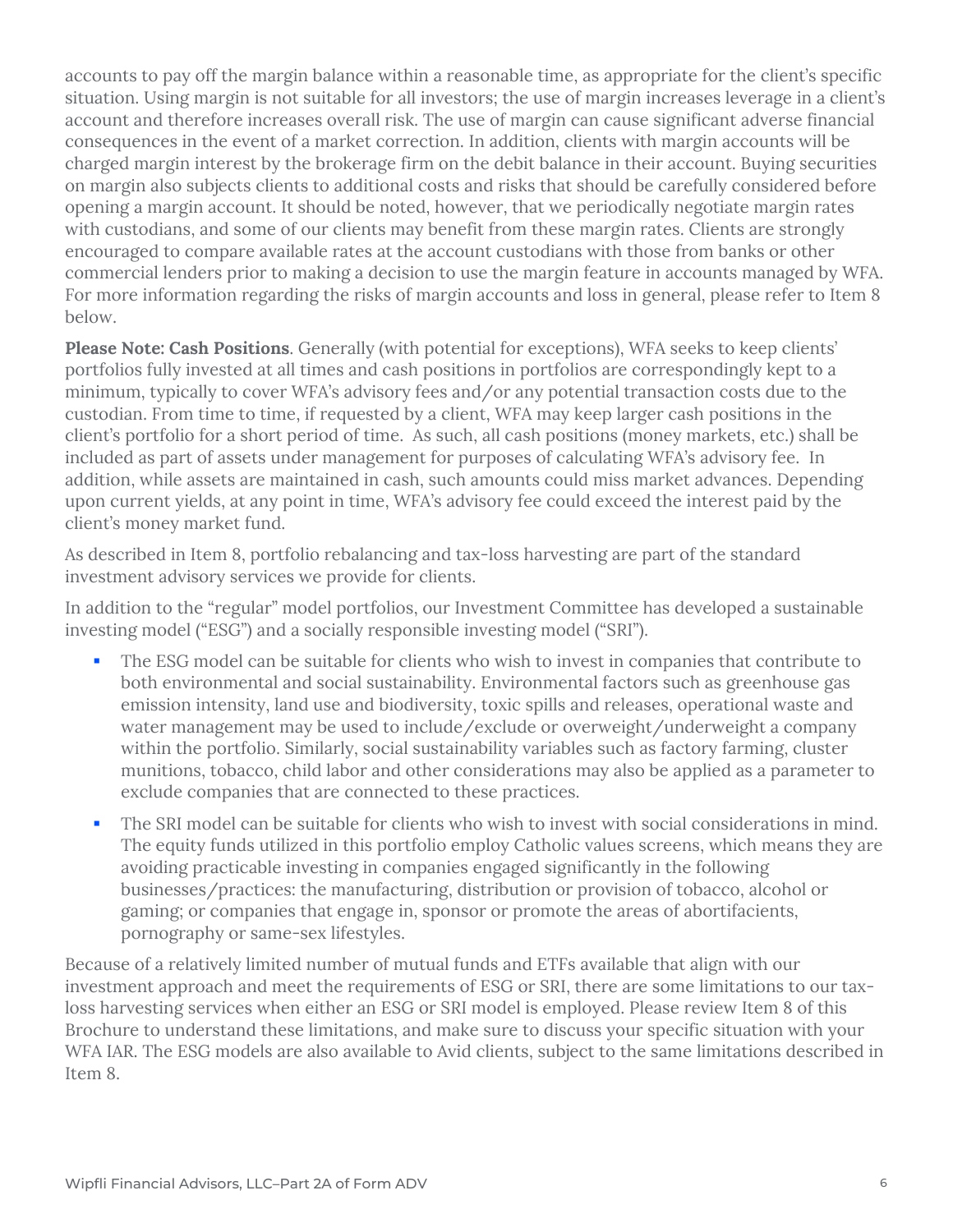accounts to pay off the margin balance within a reasonable time, as appropriate for the client's specific situation. Using margin is not suitable for all investors; the use of margin increases leverage in a client's account and therefore increases overall risk. The use of margin can cause significant adverse financial consequences in the event of a market correction. In addition, clients with margin accounts will be charged margin interest by the brokerage firm on the debit balance in their account. Buying securities on margin also subjects clients to additional costs and risks that should be carefully considered before opening a margin account. It should be noted, however, that we periodically negotiate margin rates with custodians, and some of our clients may benefit from these margin rates. Clients are strongly encouraged to compare available rates at the account custodians with those from banks or other commercial lenders prior to making a decision to use the margin feature in accounts managed by WFA. For more information regarding the risks of margin accounts and loss in general, please refer to Item 8 below.

**Please Note: Cash Positions**. Generally (with potential for exceptions), WFA seeks to keep clients' portfolios fully invested at all times and cash positions in portfolios are correspondingly kept to a minimum, typically to cover WFA's advisory fees and/or any potential transaction costs due to the custodian. From time to time, if requested by a client, WFA may keep larger cash positions in the client's portfolio for a short period of time. As such, all cash positions (money markets, etc.) shall be included as part of assets under management for purposes of calculating WFA's advisory fee. In addition, while assets are maintained in cash, such amounts could miss market advances. Depending upon current yields, at any point in time, WFA's advisory fee could exceed the interest paid by the client's money market fund.

As described in Item 8, portfolio rebalancing and tax-loss harvesting are part of the standard investment advisory services we provide for clients.

In addition to the "regular" model portfolios, our Investment Committee has developed a sustainable investing model ("ESG") and a socially responsible investing model ("SRI").

- The ESG model can be suitable for clients who wish to invest in companies that contribute to both environmental and social sustainability. Environmental factors such as greenhouse gas emission intensity, land use and biodiversity, toxic spills and releases, operational waste and water management may be used to include/exclude or overweight/underweight a company within the portfolio. Similarly, social sustainability variables such as factory farming, cluster munitions, tobacco, child labor and other considerations may also be applied as a parameter to exclude companies that are connected to these practices.
- The SRI model can be suitable for clients who wish to invest with social considerations in mind. The equity funds utilized in this portfolio employ Catholic values screens, which means they are avoiding practicable investing in companies engaged significantly in the following businesses/practices: the manufacturing, distribution or provision of tobacco, alcohol or gaming; or companies that engage in, sponsor or promote the areas of abortifacients, pornography or same-sex lifestyles.

Because of a relatively limited number of mutual funds and ETFs available that align with our investment approach and meet the requirements of ESG or SRI, there are some limitations to our taxloss harvesting services when either an ESG or SRI model is employed. Please review Item 8 of this Brochure to understand these limitations, and make sure to discuss your specific situation with your WFA IAR. The ESG models are also available to Avid clients, subject to the same limitations described in Item 8.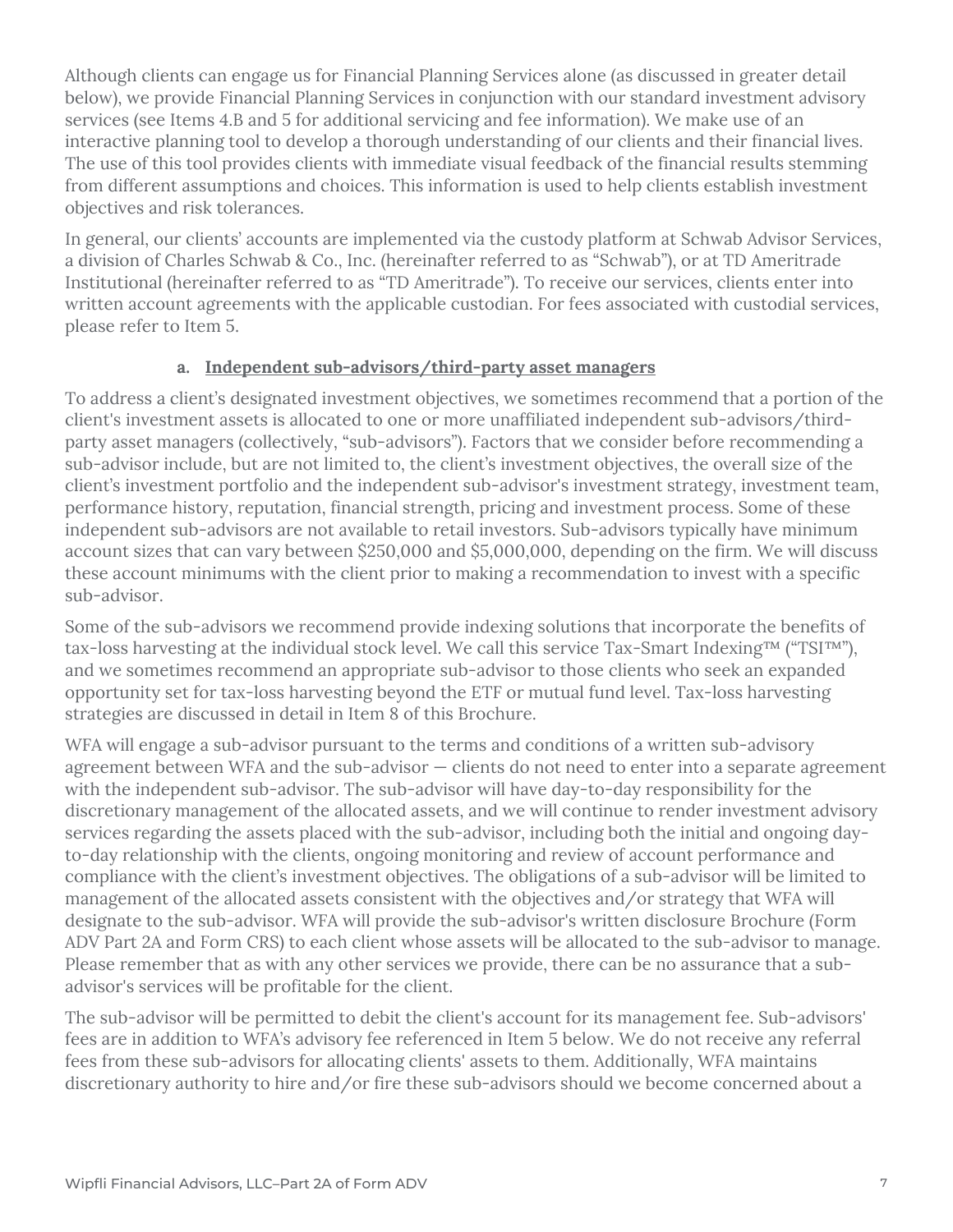Although clients can engage us for Financial Planning Services alone (as discussed in greater detail below), we provide Financial Planning Services in conjunction with our standard investment advisory services (see Items 4.B and 5 for additional servicing and fee information). We make use of an interactive planning tool to develop a thorough understanding of our clients and their financial lives. The use of this tool provides clients with immediate visual feedback of the financial results stemming from different assumptions and choices. This information is used to help clients establish investment objectives and risk tolerances.

In general, our clients' accounts are implemented via the custody platform at Schwab Advisor Services, a division of Charles Schwab & Co., Inc. (hereinafter referred to as "Schwab"), or at TD Ameritrade Institutional (hereinafter referred to as "TD Ameritrade"). To receive our services, clients enter into written account agreements with the applicable custodian. For fees associated with custodial services, please refer to Item 5.

#### **a. Independent sub-advisors/third-party asset managers**

To address a client's designated investment objectives, we sometimes recommend that a portion of the client's investment assets is allocated to one or more unaffiliated independent sub-advisors/thirdparty asset managers (collectively, "sub-advisors"). Factors that we consider before recommending a sub-advisor include, but are not limited to, the client's investment objectives, the overall size of the client's investment portfolio and the independent sub-advisor's investment strategy, investment team, performance history, reputation, financial strength, pricing and investment process. Some of these independent sub-advisors are not available to retail investors. Sub-advisors typically have minimum account sizes that can vary between \$250,000 and \$5,000,000, depending on the firm. We will discuss these account minimums with the client prior to making a recommendation to invest with a specific sub-advisor.

Some of the sub-advisors we recommend provide indexing solutions that incorporate the benefits of tax-loss harvesting at the individual stock level. We call this service Tax-Smart Indexing™ ("TSI™"), and we sometimes recommend an appropriate sub-advisor to those clients who seek an expanded opportunity set for tax-loss harvesting beyond the ETF or mutual fund level. Tax-loss harvesting strategies are discussed in detail in Item 8 of this Brochure.

WFA will engage a sub-advisor pursuant to the terms and conditions of a written sub-advisory agreement between WFA and the sub-advisor — clients do not need to enter into a separate agreement with the independent sub-advisor. The sub-advisor will have day-to-day responsibility for the discretionary management of the allocated assets, and we will continue to render investment advisory services regarding the assets placed with the sub-advisor, including both the initial and ongoing dayto-day relationship with the clients, ongoing monitoring and review of account performance and compliance with the client's investment objectives. The obligations of a sub-advisor will be limited to management of the allocated assets consistent with the objectives and/or strategy that WFA will designate to the sub-advisor. WFA will provide the sub-advisor's written disclosure Brochure (Form ADV Part 2A and Form CRS) to each client whose assets will be allocated to the sub-advisor to manage. Please remember that as with any other services we provide, there can be no assurance that a subadvisor's services will be profitable for the client.

The sub-advisor will be permitted to debit the client's account for its management fee. Sub-advisors' fees are in addition to WFA's advisory fee referenced in Item 5 below. We do not receive any referral fees from these sub-advisors for allocating clients' assets to them. Additionally, WFA maintains discretionary authority to hire and/or fire these sub-advisors should we become concerned about a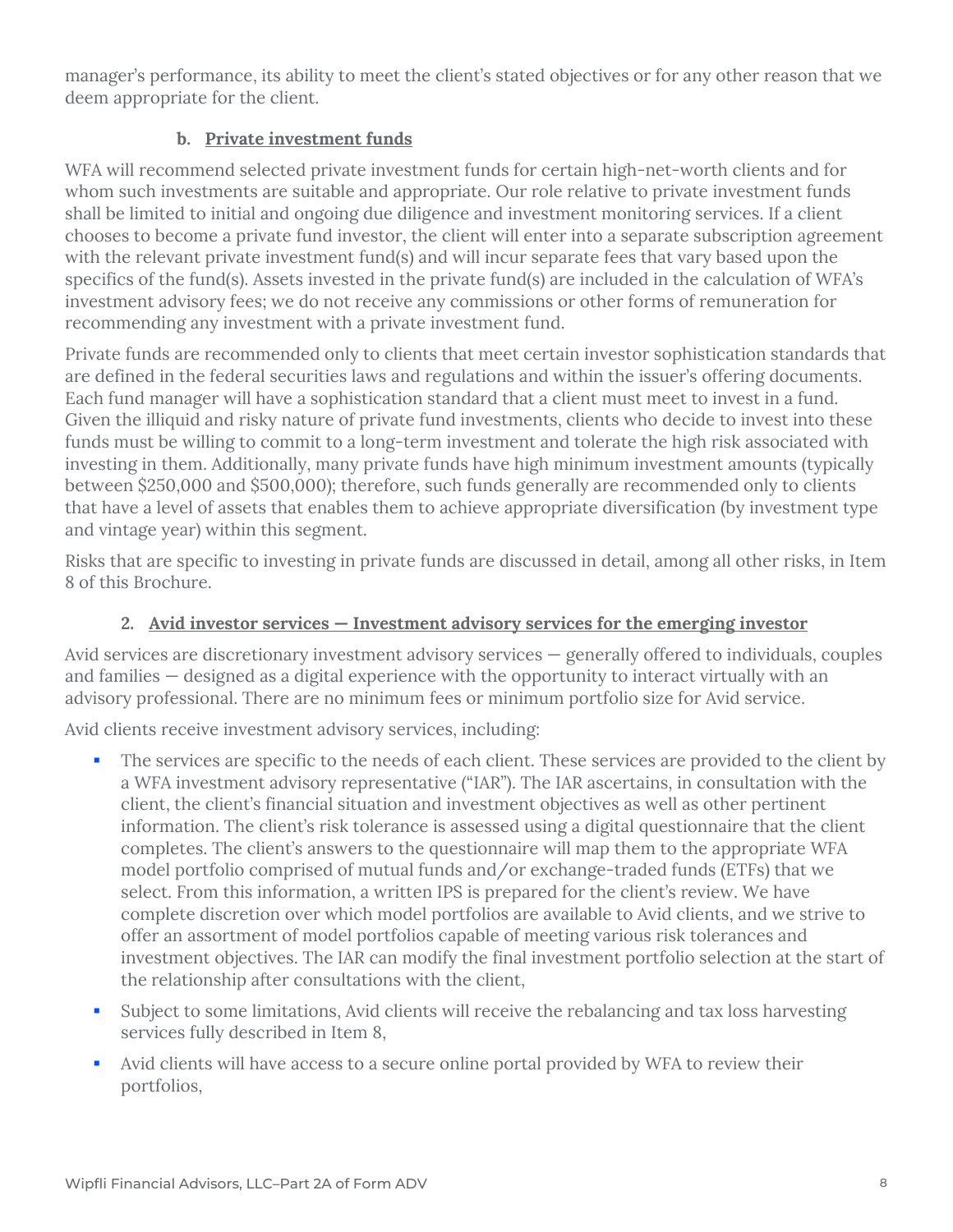manager's performance, its ability to meet the client's stated objectives or for any other reason that we deem appropriate for the client.

## **b. Private investment funds**

WFA will recommend selected private investment funds for certain high-net-worth clients and for whom such investments are suitable and appropriate. Our role relative to private investment funds shall be limited to initial and ongoing due diligence and investment monitoring services. If a client chooses to become a private fund investor, the client will enter into a separate subscription agreement with the relevant private investment fund(s) and will incur separate fees that vary based upon the specifics of the fund(s). Assets invested in the private fund(s) are included in the calculation of WFA's investment advisory fees; we do not receive any commissions or other forms of remuneration for recommending any investment with a private investment fund.

Private funds are recommended only to clients that meet certain investor sophistication standards that are defined in the federal securities laws and regulations and within the issuer's offering documents. Each fund manager will have a sophistication standard that a client must meet to invest in a fund. Given the illiquid and risky nature of private fund investments, clients who decide to invest into these funds must be willing to commit to a long-term investment and tolerate the high risk associated with investing in them. Additionally, many private funds have high minimum investment amounts (typically between \$250,000 and \$500,000); therefore, such funds generally are recommended only to clients that have a level of assets that enables them to achieve appropriate diversification (by investment type and vintage year) within this segment.

Risks that are specific to investing in private funds are discussed in detail, among all other risks, in Item 8 of this Brochure.

## **2. Avid investor services — Investment advisory services for the emerging investor**

Avid services are discretionary investment advisory services — generally offered to individuals, couples and families — designed as a digital experience with the opportunity to interact virtually with an advisory professional. There are no minimum fees or minimum portfolio size for Avid service.

Avid clients receive investment advisory services, including:

- The services are specific to the needs of each client. These services are provided to the client by a WFA investment advisory representative ("IAR"). The IAR ascertains, in consultation with the client, the client's financial situation and investment objectives as well as other pertinent information. The client's risk tolerance is assessed using a digital questionnaire that the client completes. The client's answers to the questionnaire will map them to the appropriate WFA model portfolio comprised of mutual funds and/or exchange-traded funds (ETFs) that we select. From this information, a written IPS is prepared for the client's review. We have complete discretion over which model portfolios are available to Avid clients, and we strive to offer an assortment of model portfolios capable of meeting various risk tolerances and investment objectives. The IAR can modify the final investment portfolio selection at the start of the relationship after consultations with the client,
- Subject to some limitations, Avid clients will receive the rebalancing and tax loss harvesting services fully described in Item 8,
- Avid clients will have access to a secure online portal provided by WFA to review their portfolios,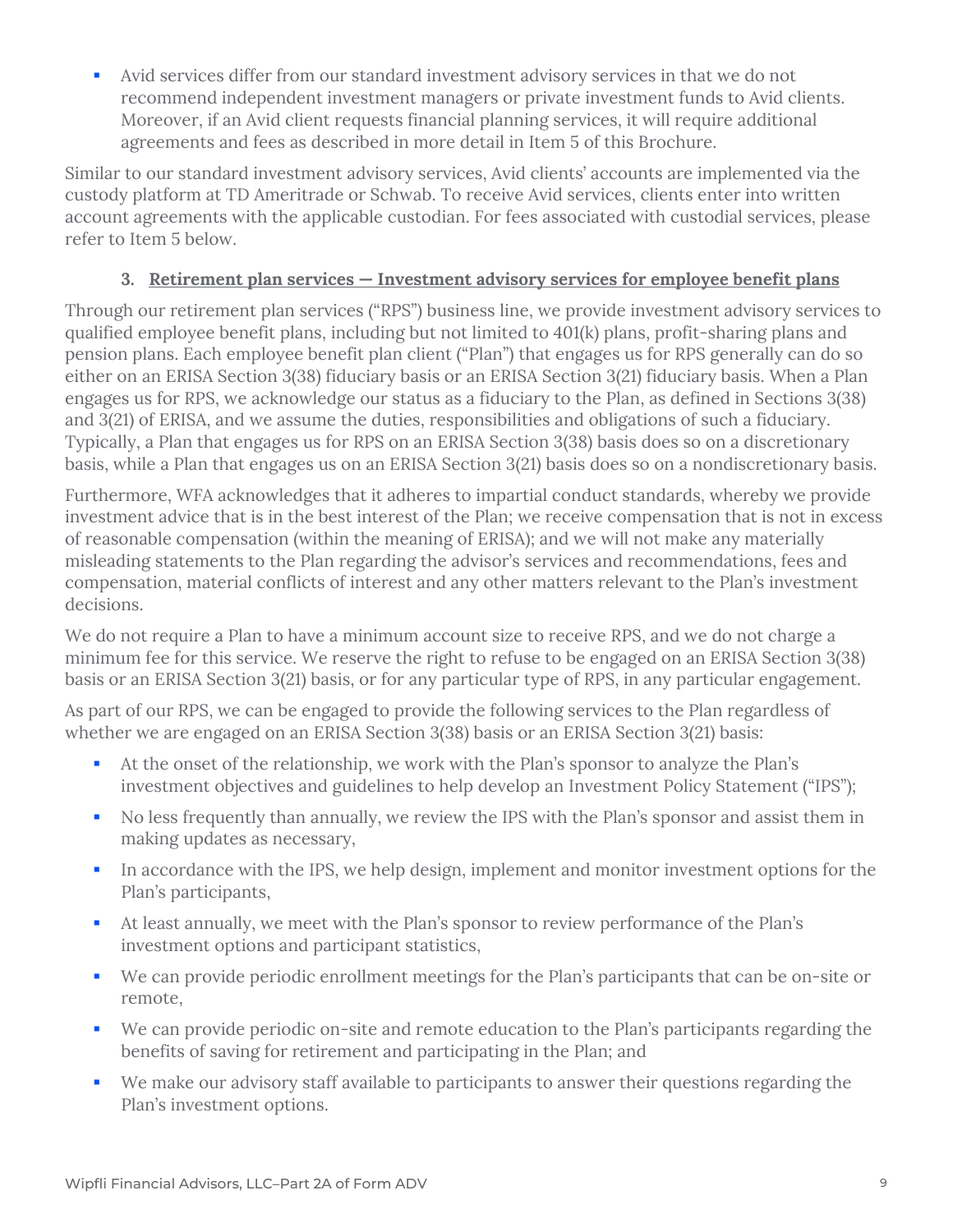Avid services differ from our standard investment advisory services in that we do not recommend independent investment managers or private investment funds to Avid clients. Moreover, if an Avid client requests financial planning services, it will require additional agreements and fees as described in more detail in Item 5 of this Brochure.

Similar to our standard investment advisory services, Avid clients' accounts are implemented via the custody platform at TD Ameritrade or Schwab. To receive Avid services, clients enter into written account agreements with the applicable custodian. For fees associated with custodial services, please refer to Item 5 below.

## **3. Retirement plan services — Investment advisory services for employee benefit plans**

Through our retirement plan services ("RPS") business line, we provide investment advisory services to qualified employee benefit plans, including but not limited to 401(k) plans, profit‐sharing plans and pension plans. Each employee benefit plan client ("Plan") that engages us for RPS generally can do so either on an ERISA Section 3(38) fiduciary basis or an ERISA Section 3(21) fiduciary basis. When a Plan engages us for RPS, we acknowledge our status as a fiduciary to the Plan, as defined in Sections 3(38) and 3(21) of ERISA, and we assume the duties, responsibilities and obligations of such a fiduciary. Typically, a Plan that engages us for RPS on an ERISA Section 3(38) basis does so on a discretionary basis, while a Plan that engages us on an ERISA Section 3(21) basis does so on a nondiscretionary basis.

Furthermore, WFA acknowledges that it adheres to impartial conduct standards, whereby we provide investment advice that is in the best interest of the Plan; we receive compensation that is not in excess of reasonable compensation (within the meaning of ERISA); and we will not make any materially misleading statements to the Plan regarding the advisor's services and recommendations, fees and compensation, material conflicts of interest and any other matters relevant to the Plan's investment decisions.

We do not require a Plan to have a minimum account size to receive RPS, and we do not charge a minimum fee for this service. We reserve the right to refuse to be engaged on an ERISA Section 3(38) basis or an ERISA Section 3(21) basis, or for any particular type of RPS, in any particular engagement.

As part of our RPS, we can be engaged to provide the following services to the Plan regardless of whether we are engaged on an ERISA Section 3(38) basis or an ERISA Section 3(21) basis:

- At the onset of the relationship, we work with the Plan's sponsor to analyze the Plan's investment objectives and guidelines to help develop an Investment Policy Statement ("IPS");
- No less frequently than annually, we review the IPS with the Plan's sponsor and assist them in making updates as necessary,
- In accordance with the IPS, we help design, implement and monitor investment options for the Plan's participants,
- At least annually, we meet with the Plan's sponsor to review performance of the Plan's investment options and participant statistics,
- We can provide periodic enrollment meetings for the Plan's participants that can be on-site or remote,
- We can provide periodic on-site and remote education to the Plan's participants regarding the benefits of saving for retirement and participating in the Plan; and
- We make our advisory staff available to participants to answer their questions regarding the Plan's investment options.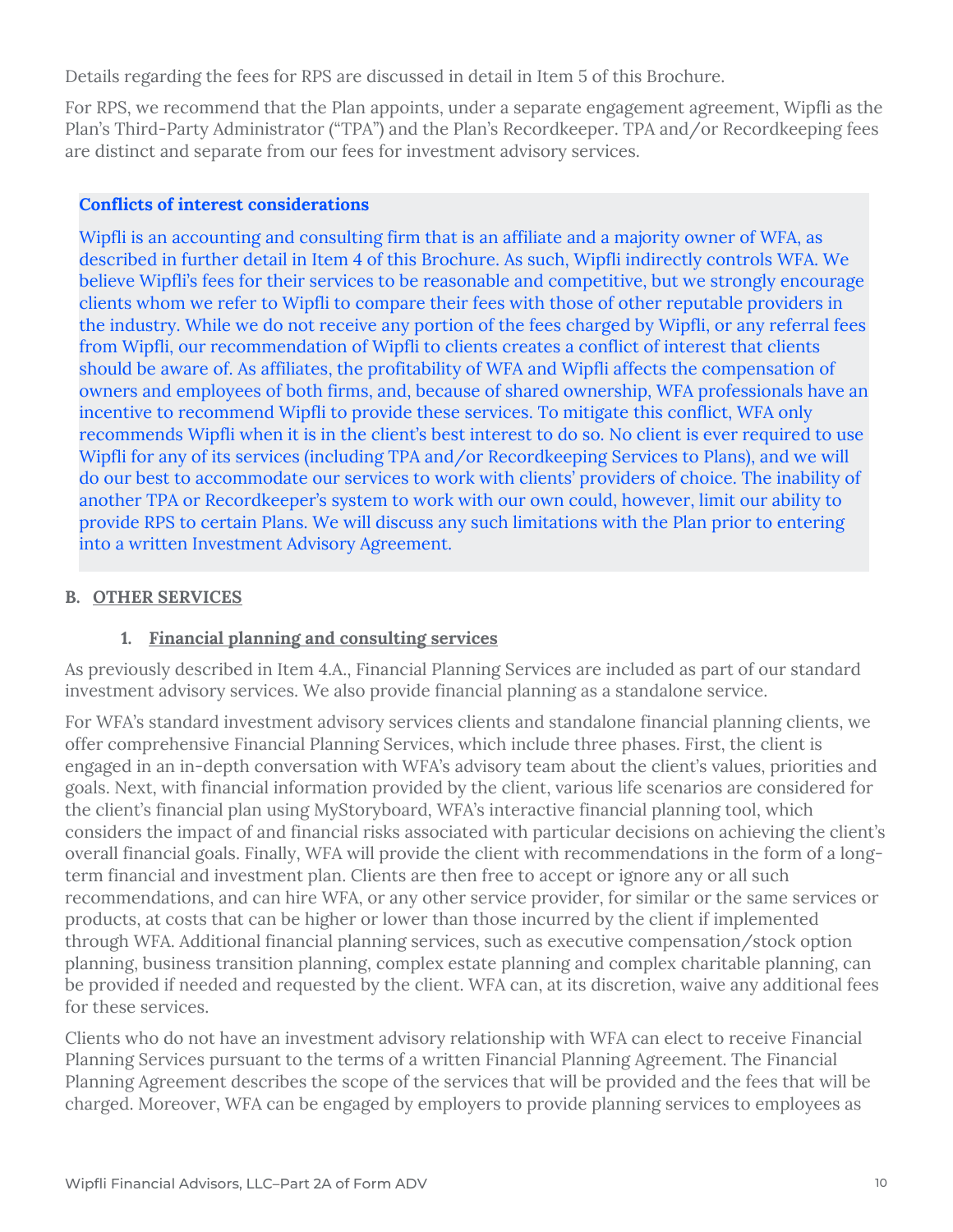Details regarding the fees for RPS are discussed in detail in Item 5 of this Brochure.

For RPS, we recommend that the Plan appoints, under a separate engagement agreement, Wipfli as the Plan's Third‐Party Administrator ("TPA") and the Plan's Recordkeeper. TPA and/or Recordkeeping fees are distinct and separate from our fees for investment advisory services.

#### **Conflicts of interest considerations**

Wipfli is an accounting and consulting firm that is an affiliate and a majority owner of WFA, as described in further detail in Item 4 of this Brochure. As such, Wipfli indirectly controls WFA. We believe Wipfli's fees for their services to be reasonable and competitive, but we strongly encourage clients whom we refer to Wipfli to compare their fees with those of other reputable providers in the industry. While we do not receive any portion of the fees charged by Wipfli, or any referral fees from Wipfli, our recommendation of Wipfli to clients creates a conflict of interest that clients should be aware of. As affiliates, the profitability of WFA and Wipfli affects the compensation of owners and employees of both firms, and, because of shared ownership, WFA professionals have an incentive to recommend Wipfli to provide these services. To mitigate this conflict, WFA only recommends Wipfli when it is in the client's best interest to do so. No client is ever required to use Wipfli for any of its services (including TPA and/or Recordkeeping Services to Plans), and we will do our best to accommodate our services to work with clients' providers of choice. The inability of another TPA or Recordkeeper's system to work with our own could, however, limit our ability to provide RPS to certain Plans. We will discuss any such limitations with the Plan prior to entering into a written Investment Advisory Agreement.

#### **B. OTHER SERVICES**

## **1. Financial planning and consulting services**

As previously described in Item 4.A., Financial Planning Services are included as part of our standard investment advisory services. We also provide financial planning as a standalone service.

For WFA's standard investment advisory services clients and standalone financial planning clients, we offer comprehensive Financial Planning Services, which include three phases. First, the client is engaged in an in-depth conversation with WFA's advisory team about the client's values, priorities and goals. Next, with financial information provided by the client, various life scenarios are considered for the client's financial plan using MyStoryboard, WFA's interactive financial planning tool, which considers the impact of and financial risks associated with particular decisions on achieving the client's overall financial goals. Finally, WFA will provide the client with recommendations in the form of a longterm financial and investment plan. Clients are then free to accept or ignore any or all such recommendations, and can hire WFA, or any other service provider, for similar or the same services or products, at costs that can be higher or lower than those incurred by the client if implemented through WFA. Additional financial planning services, such as executive compensation/stock option planning, business transition planning, complex estate planning and complex charitable planning, can be provided if needed and requested by the client. WFA can, at its discretion, waive any additional fees for these services.

Clients who do not have an investment advisory relationship with WFA can elect to receive Financial Planning Services pursuant to the terms of a written Financial Planning Agreement. The Financial Planning Agreement describes the scope of the services that will be provided and the fees that will be charged. Moreover, WFA can be engaged by employers to provide planning services to employees as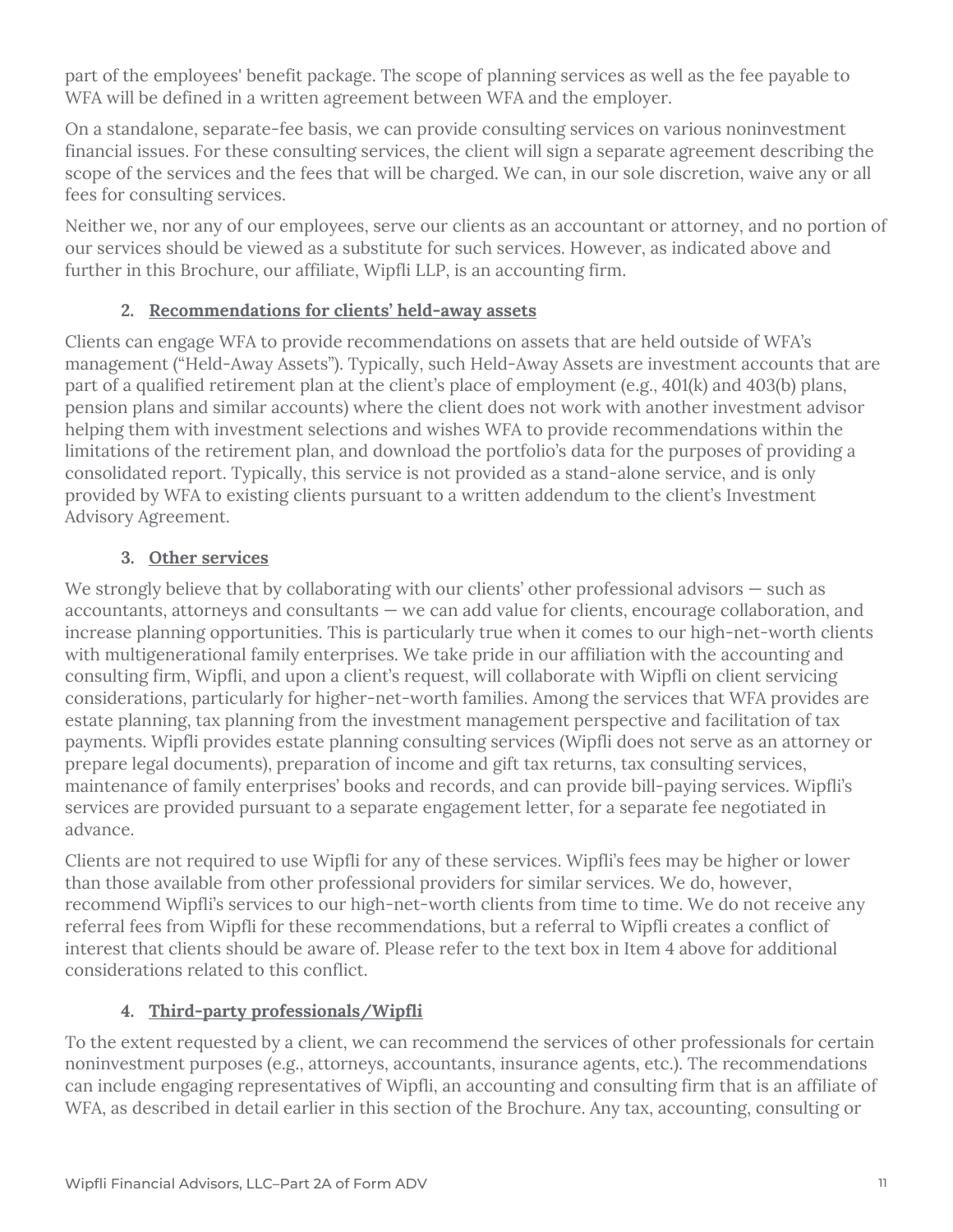part of the employees' benefit package. The scope of planning services as well as the fee payable to WFA will be defined in a written agreement between WFA and the employer.

On a standalone, separate-fee basis, we can provide consulting services on various noninvestment financial issues. For these consulting services, the client will sign a separate agreement describing the scope of the services and the fees that will be charged. We can, in our sole discretion, waive any or all fees for consulting services.

Neither we, nor any of our employees, serve our clients as an accountant or attorney, and no portion of our services should be viewed as a substitute for such services. However, as indicated above and further in this Brochure, our affiliate, Wipfli LLP, is an accounting firm.

## **2. Recommendations for clients' held-away assets**

Clients can engage WFA to provide recommendations on assets that are held outside of WFA's management ("Held-Away Assets"). Typically, such Held-Away Assets are investment accounts that are part of a qualified retirement plan at the client's place of employment (e.g., 401(k) and 403(b) plans, pension plans and similar accounts) where the client does not work with another investment advisor helping them with investment selections and wishes WFA to provide recommendations within the limitations of the retirement plan, and download the portfolio's data for the purposes of providing a consolidated report. Typically, this service is not provided as a stand-alone service, and is only provided by WFA to existing clients pursuant to a written addendum to the client's Investment Advisory Agreement.

## **3. Other services**

We strongly believe that by collaborating with our clients' other professional advisors – such as accountants, attorneys and consultants — we can add value for clients, encourage collaboration, and increase planning opportunities. This is particularly true when it comes to our high-net-worth clients with multigenerational family enterprises. We take pride in our affiliation with the accounting and consulting firm, Wipfli, and upon a client's request, will collaborate with Wipfli on client servicing considerations, particularly for higher-net-worth families. Among the services that WFA provides are estate planning, tax planning from the investment management perspective and facilitation of tax payments. Wipfli provides estate planning consulting services (Wipfli does not serve as an attorney or prepare legal documents), preparation of income and gift tax returns, tax consulting services, maintenance of family enterprises' books and records, and can provide bill-paying services. Wipfli's services are provided pursuant to a separate engagement letter, for a separate fee negotiated in advance.

Clients are not required to use Wipfli for any of these services. Wipfli's fees may be higher or lower than those available from other professional providers for similar services. We do, however, recommend Wipfli's services to our high-net-worth clients from time to time. We do not receive any referral fees from Wipfli for these recommendations, but a referral to Wipfli creates a conflict of interest that clients should be aware of. Please refer to the text box in Item 4 above for additional considerations related to this conflict.

## **4. Third-party professionals/Wipfli**

To the extent requested by a client, we can recommend the services of other professionals for certain noninvestment purposes (e.g., attorneys, accountants, insurance agents, etc.). The recommendations can include engaging representatives of Wipfli, an accounting and consulting firm that is an affiliate of WFA, as described in detail earlier in this section of the Brochure. Any tax, accounting, consulting or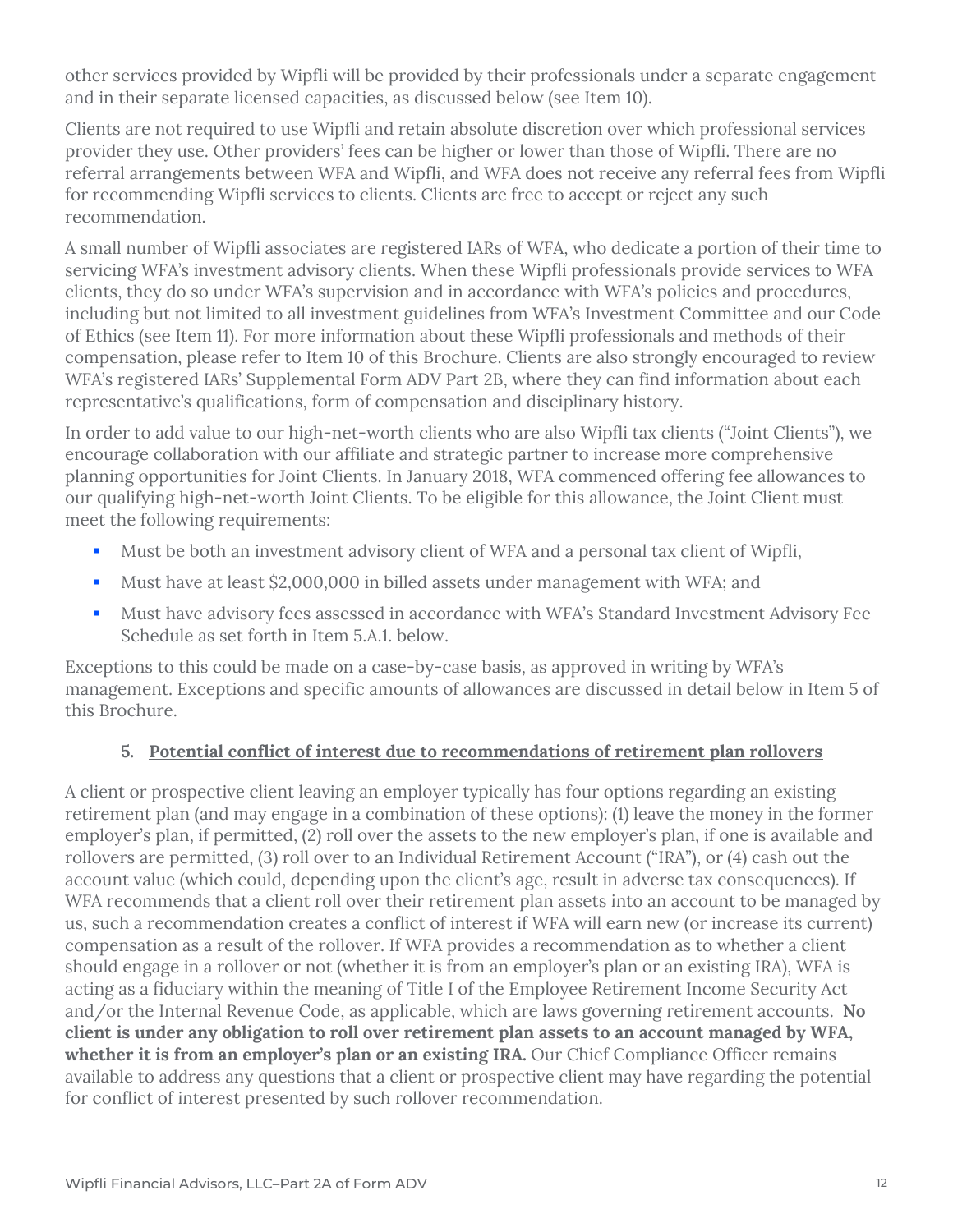other services provided by Wipfli will be provided by their professionals under a separate engagement and in their separate licensed capacities, as discussed below (see Item 10).

Clients are not required to use Wipfli and retain absolute discretion over which professional services provider they use. Other providers' fees can be higher or lower than those of Wipfli. There are no referral arrangements between WFA and Wipfli, and WFA does not receive any referral fees from Wipfli for recommending Wipfli services to clients. Clients are free to accept or reject any such recommendation.

A small number of Wipfli associates are registered IARs of WFA, who dedicate a portion of their time to servicing WFA's investment advisory clients. When these Wipfli professionals provide services to WFA clients, they do so under WFA's supervision and in accordance with WFA's policies and procedures, including but not limited to all investment guidelines from WFA's Investment Committee and our Code of Ethics (see Item 11). For more information about these Wipfli professionals and methods of their compensation, please refer to Item 10 of this Brochure. Clients are also strongly encouraged to review WFA's registered IARs' Supplemental Form ADV Part 2B, where they can find information about each representative's qualifications, form of compensation and disciplinary history.

In order to add value to our high-net-worth clients who are also Wipfli tax clients ("Joint Clients"), we encourage collaboration with our affiliate and strategic partner to increase more comprehensive planning opportunities for Joint Clients. In January 2018, WFA commenced offering fee allowances to our qualifying high-net-worth Joint Clients. To be eligible for this allowance, the Joint Client must meet the following requirements:

- Must be both an investment advisory client of WFA and a personal tax client of Wipfli,
- Must have at least \$2,000,000 in billed assets under management with WFA; and
- Must have advisory fees assessed in accordance with WFA's Standard Investment Advisory Fee Schedule as set forth in Item 5.A.1. below.

Exceptions to this could be made on a case-by-case basis, as approved in writing by WFA's management. Exceptions and specific amounts of allowances are discussed in detail below in Item 5 of this Brochure.

## **5. Potential conflict of interest due to recommendations of retirement plan rollovers**

A client or prospective client leaving an employer typically has four options regarding an existing retirement plan (and may engage in a combination of these options): (1) leave the money in the former employer's plan, if permitted, (2) roll over the assets to the new employer's plan, if one is available and rollovers are permitted, (3) roll over to an Individual Retirement Account ("IRA"), or (4) cash out the account value (which could, depending upon the client's age, result in adverse tax consequences). If WFA recommends that a client roll over their retirement plan assets into an account to be managed by us, such a recommendation creates a conflict of interest if WFA will earn new (or increase its current) compensation as a result of the rollover. If WFA provides a recommendation as to whether a client should engage in a rollover or not (whether it is from an employer's plan or an existing IRA), WFA is acting as a fiduciary within the meaning of Title I of the Employee Retirement Income Security Act and/or the Internal Revenue Code, as applicable, which are laws governing retirement accounts. **No client is under any obligation to roll over retirement plan assets to an account managed by WFA,**  whether it is from an employer's plan or an existing IRA. Our Chief Compliance Officer remains available to address any questions that a client or prospective client may have regarding the potential for conflict of interest presented by such rollover recommendation.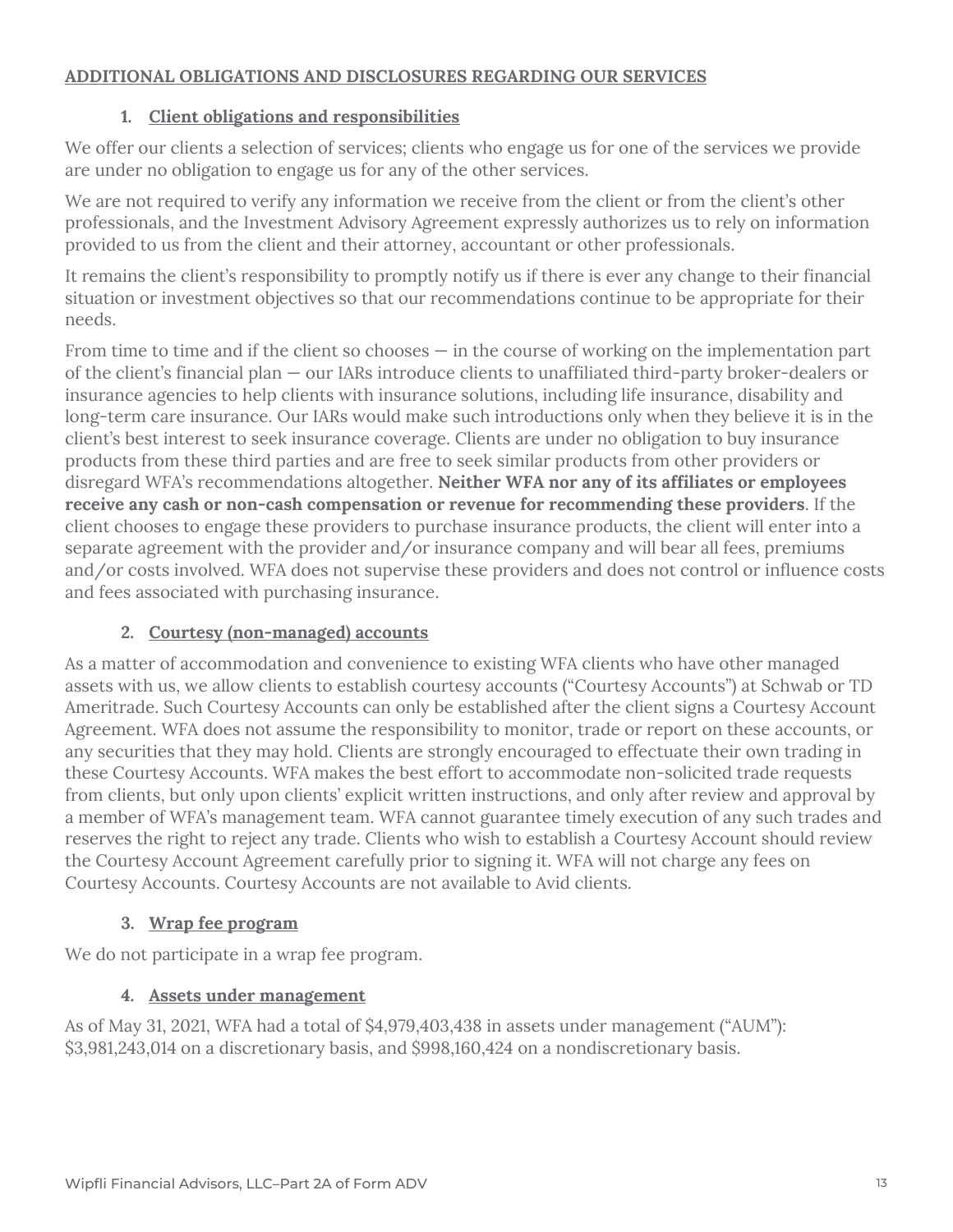#### **ADDITIONAL OBLIGATIONS AND DISCLOSURES REGARDING OUR SERVICES**

#### **1. Client obligations and responsibilities**

We offer our clients a selection of services; clients who engage us for one of the services we provide are under no obligation to engage us for any of the other services.

We are not required to verify any information we receive from the client or from the client's other professionals, and the Investment Advisory Agreement expressly authorizes us to rely on information provided to us from the client and their attorney, accountant or other professionals.

It remains the client's responsibility to promptly notify us if there is ever any change to their financial situation or investment objectives so that our recommendations continue to be appropriate for their needs.

From time to time and if the client so chooses  $-$  in the course of working on the implementation part of the client's financial plan — our IARs introduce clients to unaffiliated third-party broker-dealers or insurance agencies to help clients with insurance solutions, including life insurance, disability and long-term care insurance. Our IARs would make such introductions only when they believe it is in the client's best interest to seek insurance coverage. Clients are under no obligation to buy insurance products from these third parties and are free to seek similar products from other providers or disregard WFA's recommendations altogether. **Neither WFA nor any of its affiliates or employees receive any cash or non-cash compensation or revenue for recommending these providers**. If the client chooses to engage these providers to purchase insurance products, the client will enter into a separate agreement with the provider and/or insurance company and will bear all fees, premiums and/or costs involved. WFA does not supervise these providers and does not control or influence costs and fees associated with purchasing insurance.

## **2. Courtesy (non-managed) accounts**

As a matter of accommodation and convenience to existing WFA clients who have other managed assets with us, we allow clients to establish courtesy accounts ("Courtesy Accounts") at Schwab or TD Ameritrade. Such Courtesy Accounts can only be established after the client signs a Courtesy Account Agreement. WFA does not assume the responsibility to monitor, trade or report on these accounts, or any securities that they may hold. Clients are strongly encouraged to effectuate their own trading in these Courtesy Accounts. WFA makes the best effort to accommodate non-solicited trade requests from clients, but only upon clients' explicit written instructions, and only after review and approval by a member of WFA's management team. WFA cannot guarantee timely execution of any such trades and reserves the right to reject any trade. Clients who wish to establish a Courtesy Account should review the Courtesy Account Agreement carefully prior to signing it. WFA will not charge any fees on Courtesy Accounts. Courtesy Accounts are not available to Avid clients.

## **3. Wrap fee program**

We do not participate in a wrap fee program.

## **4. Assets under management**

As of May 31, 2021, WFA had a total of \$4,979,403,438 in assets under management ("AUM"): \$3,981,243,014 on a discretionary basis, and \$998,160,424 on a nondiscretionary basis.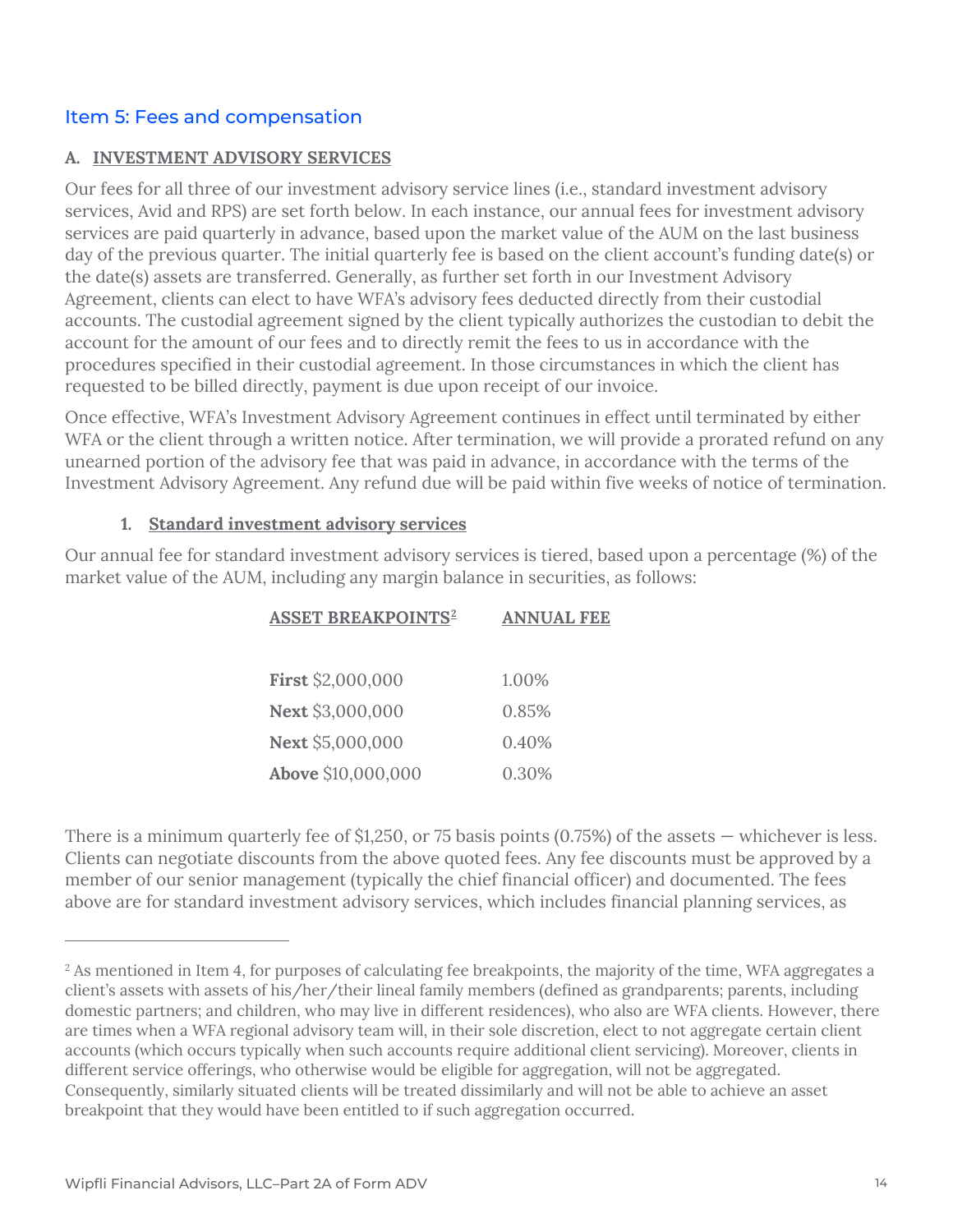## Item 5: Fees and compensation

#### **A. INVESTMENT ADVISORY SERVICES**

Our fees for all three of our investment advisory service lines (i.e., standard investment advisory services, Avid and RPS) are set forth below. In each instance, our annual fees for investment advisory services are paid quarterly in advance, based upon the market value of the AUM on the last business day of the previous quarter. The initial quarterly fee is based on the client account's funding date(s) or the date(s) assets are transferred. Generally, as further set forth in our Investment Advisory Agreement, clients can elect to have WFA's advisory fees deducted directly from their custodial accounts. The custodial agreement signed by the client typically authorizes the custodian to debit the account for the amount of our fees and to directly remit the fees to us in accordance with the procedures specified in their custodial agreement. In those circumstances in which the client has requested to be billed directly, payment is due upon receipt of our invoice.

Once effective, WFA's Investment Advisory Agreement continues in effect until terminated by either WFA or the client through a written notice. After termination, we will provide a prorated refund on any unearned portion of the advisory fee that was paid in advance, in accordance with the terms of the Investment Advisory Agreement. Any refund due will be paid within five weeks of notice of termination.

#### **1. Standard investment advisory services**

Our annual fee for standard investment advisory services is tiered, based upon a percentage (%) of the market value of the AUM, including any margin balance in securities, as follows:

| <b>ASSET BREAKPOINTS<sup>2</sup></b> | <b>ANNUAL FEE</b> |
|--------------------------------------|-------------------|
|                                      |                   |
| First \$2,000,000                    | 1.00%             |
| Next \$3,000,000                     | 0.85%             |
| Next \$5,000,000                     | 0.40%             |
| Above \$10,000,000                   | 0.30%             |

There is a minimum quarterly fee of \$1,250, or 75 basis points (0.75%) of the assets — whichever is less. Clients can negotiate discounts from the above quoted fees. Any fee discounts must be approved by a member of our senior management (typically the chief financial officer) and documented. The fees above are for standard investment advisory services, which includes financial planning services, as

<span id="page-13-0"></span><sup>&</sup>lt;sup>2</sup> As mentioned in Item 4, for purposes of calculating fee breakpoints, the majority of the time, WFA aggregates a client's assets with assets of his/her/their lineal family members (defined as grandparents; parents, including domestic partners; and children, who may live in different residences), who also are WFA clients. However, there are times when a WFA regional advisory team will, in their sole discretion, elect to not aggregate certain client accounts (which occurs typically when such accounts require additional client servicing). Moreover, clients in different service offerings, who otherwise would be eligible for aggregation, will not be aggregated. Consequently, similarly situated clients will be treated dissimilarly and will not be able to achieve an asset breakpoint that they would have been entitled to if such aggregation occurred.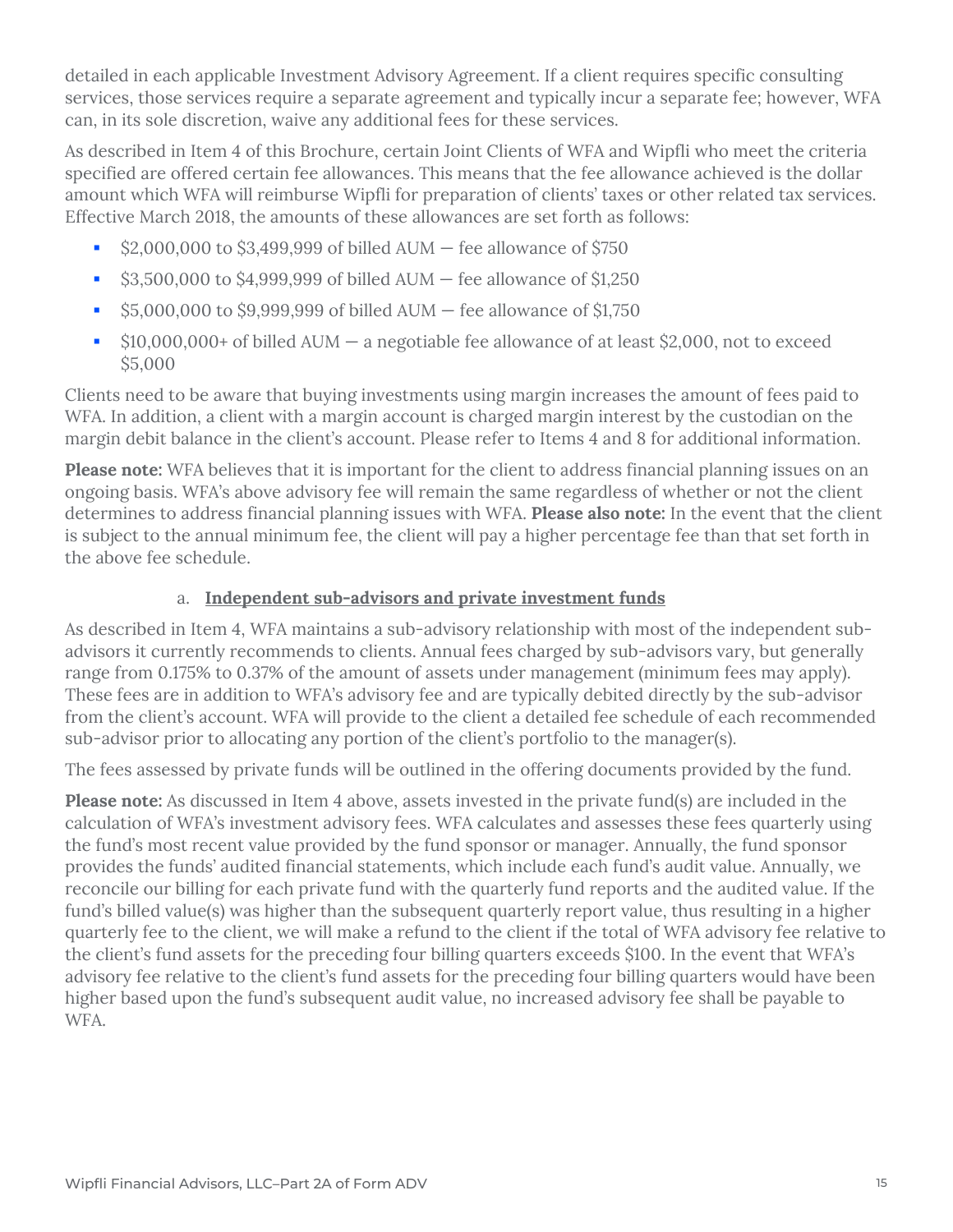detailed in each applicable Investment Advisory Agreement. If a client requires specific consulting services, those services require a separate agreement and typically incur a separate fee; however, WFA can, in its sole discretion, waive any additional fees for these services.

As described in Item 4 of this Brochure, certain Joint Clients of WFA and Wipfli who meet the criteria specified are offered certain fee allowances. This means that the fee allowance achieved is the dollar amount which WFA will reimburse Wipfli for preparation of clients' taxes or other related tax services. Effective March 2018, the amounts of these allowances are set forth as follows:

- $\approx$  \$2,000,000 to \$3,499,999 of billed AUM  $-$  fee allowance of \$750
- $\bullet$  \$3,500,000 to \$4,999,999 of billed AUM fee allowance of \$1,250
- $\dot{S}$  \$5,000,000 to \$9,999,999 of billed AUM fee allowance of \$1,750
- $\bullet$  \$10,000,000+ of billed AUM  $-$  a negotiable fee allowance of at least \$2,000, not to exceed \$5,000

Clients need to be aware that buying investments using margin increases the amount of fees paid to WFA. In addition, a client with a margin account is charged margin interest by the custodian on the margin debit balance in the client's account. Please refer to Items 4 and 8 for additional information.

**Please note:** WFA believes that it is important for the client to address financial planning issues on an ongoing basis. WFA's above advisory fee will remain the same regardless of whether or not the client determines to address financial planning issues with WFA. **Please also note:** In the event that the client is subject to the annual minimum fee, the client will pay a higher percentage fee than that set forth in the above fee schedule.

## a. **Independent sub-advisors and private investment funds**

As described in Item 4, WFA maintains a sub-advisory relationship with most of the independent subadvisors it currently recommends to clients. Annual fees charged by sub-advisors vary, but generally range from 0.175% to 0.37% of the amount of assets under management (minimum fees may apply). These fees are in addition to WFA's advisory fee and are typically debited directly by the sub-advisor from the client's account. WFA will provide to the client a detailed fee schedule of each recommended sub-advisor prior to allocating any portion of the client's portfolio to the manager(s).

The fees assessed by private funds will be outlined in the offering documents provided by the fund.

**Please note:** As discussed in Item 4 above, assets invested in the private fund(s) are included in the calculation of WFA's investment advisory fees. WFA calculates and assesses these fees quarterly using the fund's most recent value provided by the fund sponsor or manager. Annually, the fund sponsor provides the funds' audited financial statements, which include each fund's audit value. Annually, we reconcile our billing for each private fund with the quarterly fund reports and the audited value. If the fund's billed value(s) was higher than the subsequent quarterly report value, thus resulting in a higher quarterly fee to the client, we will make a refund to the client if the total of WFA advisory fee relative to the client's fund assets for the preceding four billing quarters exceeds \$100. In the event that WFA's advisory fee relative to the client's fund assets for the preceding four billing quarters would have been higher based upon the fund's subsequent audit value, no increased advisory fee shall be payable to WFA.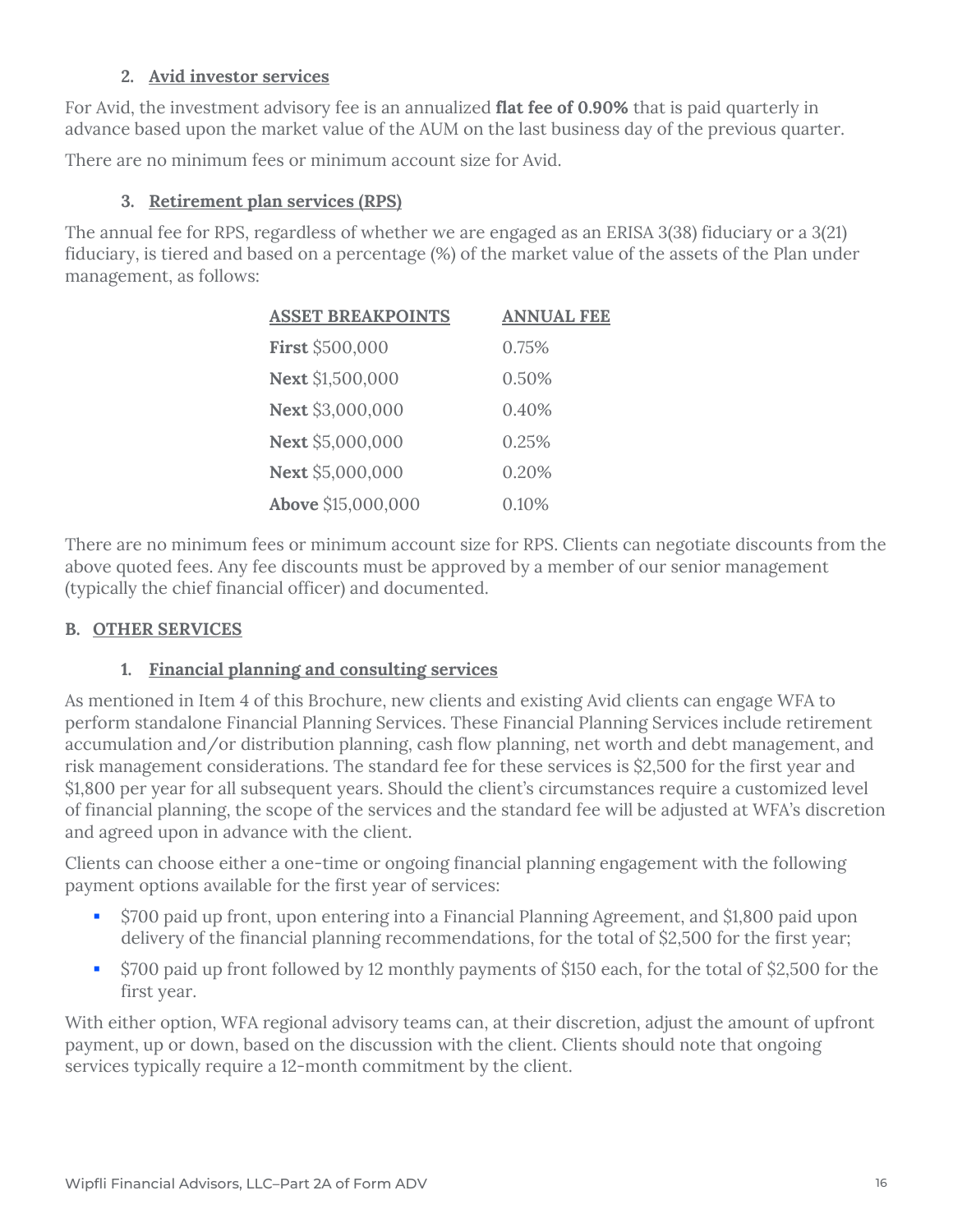## **2. Avid investor services**

For Avid, the investment advisory fee is an annualized **flat fee of 0.90%** that is paid quarterly in advance based upon the market value of the AUM on the last business day of the previous quarter.

There are no minimum fees or minimum account size for Avid.

## **3. Retirement plan services (RPS)**

The annual fee for RPS, regardless of whether we are engaged as an ERISA 3(38) fiduciary or a 3(21) fiduciary, is tiered and based on a percentage (%) of the market value of the assets of the Plan under management, as follows:

| <b>ASSET BREAKPOINTS</b> | <b>ANNUAL FEE</b> |
|--------------------------|-------------------|
| First \$500,000          | 0.75%             |
| Next \$1,500,000         | 0.50%             |
| Next \$3,000,000         | 0.40%             |
| Next \$5,000,000         | 0.25%             |
| Next \$5,000,000         | 0.20%             |
| Above \$15,000,000       | 0.10%             |

There are no minimum fees or minimum account size for RPS. Clients can negotiate discounts from the above quoted fees. Any fee discounts must be approved by a member of our senior management (typically the chief financial officer) and documented.

## **B. OTHER SERVICES**

## **1. Financial planning and consulting services**

As mentioned in Item 4 of this Brochure, new clients and existing Avid clients can engage WFA to perform standalone Financial Planning Services. These Financial Planning Services include retirement accumulation and/or distribution planning, cash flow planning, net worth and debt management, and risk management considerations. The standard fee for these services is \$2,500 for the first year and \$1,800 per year for all subsequent years. Should the client's circumstances require a customized level of financial planning, the scope of the services and the standard fee will be adjusted at WFA's discretion and agreed upon in advance with the client.

Clients can choose either a one-time or ongoing financial planning engagement with the following payment options available for the first year of services:

- \$700 paid up front, upon entering into a Financial Planning Agreement, and \$1,800 paid upon delivery of the financial planning recommendations, for the total of \$2,500 for the first year;
- **S700 paid up front followed by 12 monthly payments of \$150 each, for the total of \$2,500 for the** first year.

With either option, WFA regional advisory teams can, at their discretion, adjust the amount of upfront payment, up or down, based on the discussion with the client. Clients should note that ongoing services typically require a 12-month commitment by the client.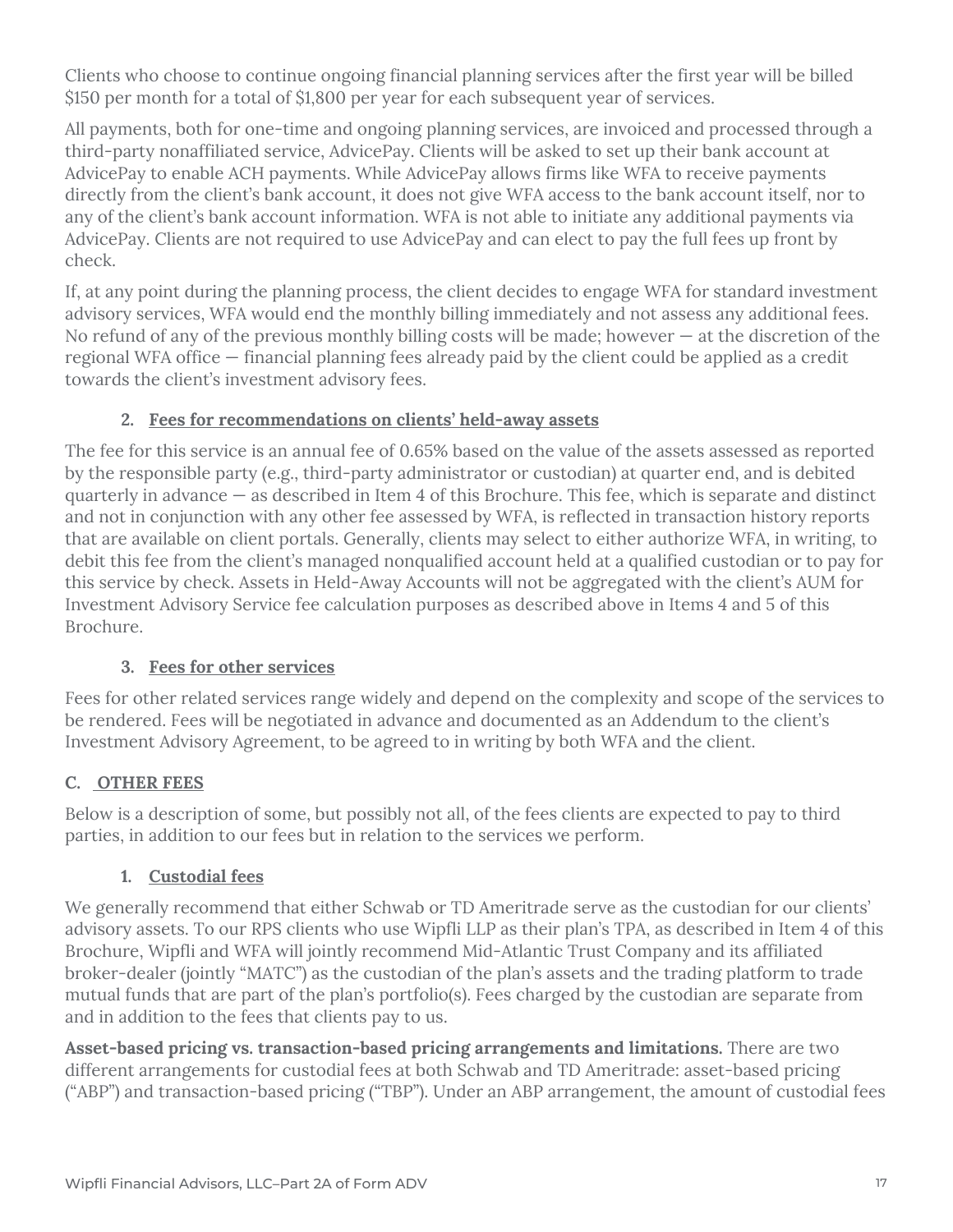Clients who choose to continue ongoing financial planning services after the first year will be billed \$150 per month for a total of \$1,800 per year for each subsequent year of services.

All payments, both for one-time and ongoing planning services, are invoiced and processed through a third-party nonaffiliated service, AdvicePay. Clients will be asked to set up their bank account at AdvicePay to enable ACH payments. While AdvicePay allows firms like WFA to receive payments directly from the client's bank account, it does not give WFA access to the bank account itself, nor to any of the client's bank account information. WFA is not able to initiate any additional payments via AdvicePay. Clients are not required to use AdvicePay and can elect to pay the full fees up front by check.

If, at any point during the planning process, the client decides to engage WFA for standard investment advisory services, WFA would end the monthly billing immediately and not assess any additional fees. No refund of any of the previous monthly billing costs will be made; however  $-$  at the discretion of the regional WFA office — financial planning fees already paid by the client could be applied as a credit towards the client's investment advisory fees.

## **2. Fees for recommendations on clients' held-away assets**

The fee for this service is an annual fee of 0.65% based on the value of the assets assessed as reported by the responsible party (e.g., third-party administrator or custodian) at quarter end, and is debited quarterly in advance — as described in Item 4 of this Brochure. This fee, which is separate and distinct and not in conjunction with any other fee assessed by WFA, is reflected in transaction history reports that are available on client portals. Generally, clients may select to either authorize WFA, in writing, to debit this fee from the client's managed nonqualified account held at a qualified custodian or to pay for this service by check. Assets in Held-Away Accounts will not be aggregated with the client's AUM for Investment Advisory Service fee calculation purposes as described above in Items 4 and 5 of this Brochure.

## **3. Fees for other services**

Fees for other related services range widely and depend on the complexity and scope of the services to be rendered. Fees will be negotiated in advance and documented as an Addendum to the client's Investment Advisory Agreement, to be agreed to in writing by both WFA and the client.

## **C. OTHER FEES**

Below is a description of some, but possibly not all, of the fees clients are expected to pay to third parties, in addition to our fees but in relation to the services we perform.

## **1. Custodial fees**

We generally recommend that either Schwab or TD Ameritrade serve as the custodian for our clients' advisory assets. To our RPS clients who use Wipfli LLP as their plan's TPA, as described in Item 4 of this Brochure, Wipfli and WFA will jointly recommend Mid-Atlantic Trust Company and its affiliated broker-dealer (jointly "MATC") as the custodian of the plan's assets and the trading platform to trade mutual funds that are part of the plan's portfolio(s). Fees charged by the custodian are separate from and in addition to the fees that clients pay to us.

**Asset-based pricing vs. transaction-based pricing arrangements and limitations.** There are two different arrangements for custodial fees at both Schwab and TD Ameritrade: asset-based pricing ("ABP") and transaction-based pricing ("TBP"). Under an ABP arrangement, the amount of custodial fees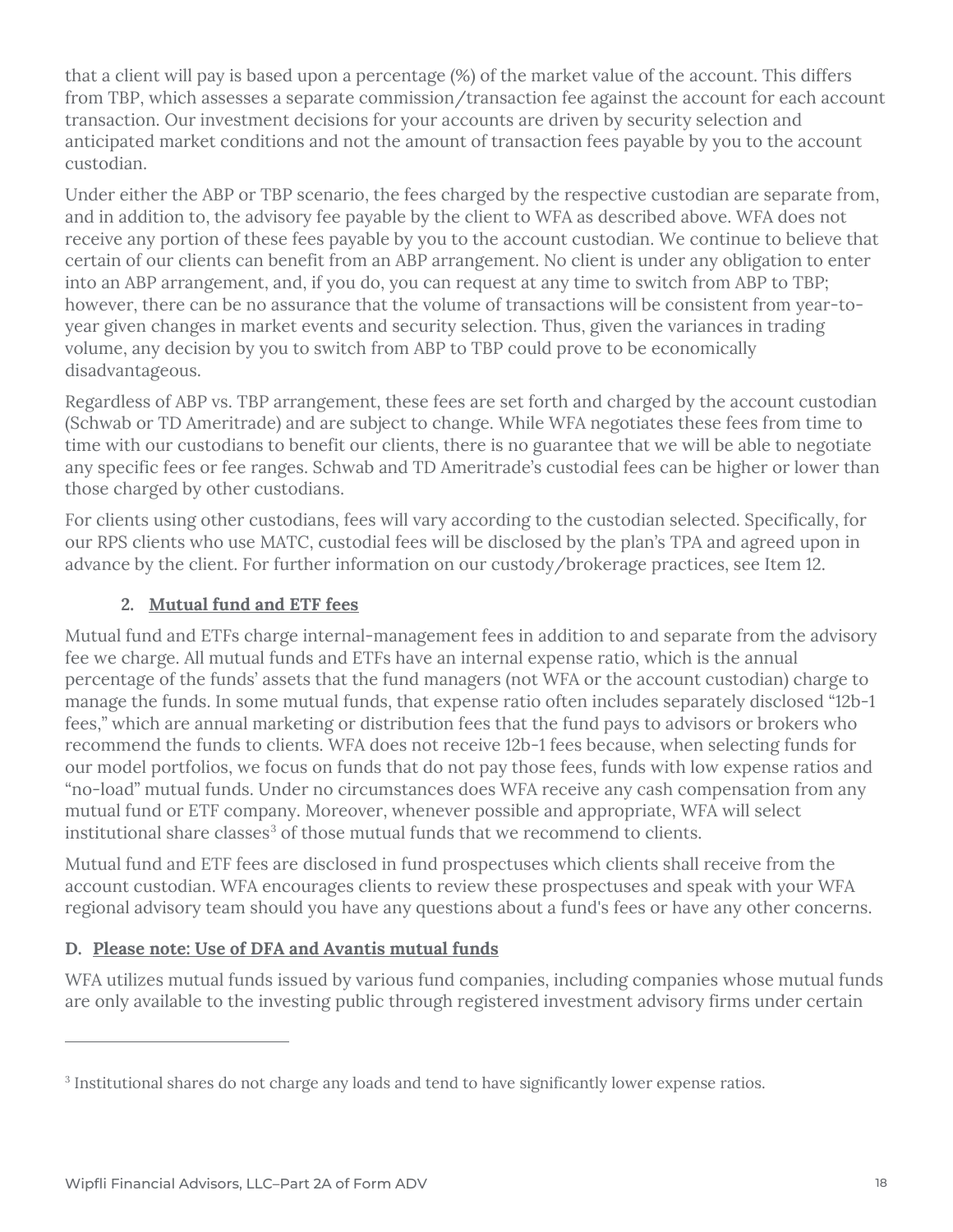that a client will pay is based upon a percentage (%) of the market value of the account. This differs from TBP, which assesses a separate commission/transaction fee against the account for each account transaction. Our investment decisions for your accounts are driven by security selection and anticipated market conditions and not the amount of transaction fees payable by you to the account custodian.

Under either the ABP or TBP scenario, the fees charged by the respective custodian are separate from, and in addition to, the advisory fee payable by the client to WFA as described above. WFA does not receive any portion of these fees payable by you to the account custodian. We continue to believe that certain of our clients can benefit from an ABP arrangement. No client is under any obligation to enter into an ABP arrangement, and, if you do, you can request at any time to switch from ABP to TBP; however, there can be no assurance that the volume of transactions will be consistent from year-toyear given changes in market events and security selection. Thus, given the variances in trading volume, any decision by you to switch from ABP to TBP could prove to be economically disadvantageous.

Regardless of ABP vs. TBP arrangement, these fees are set forth and charged by the account custodian (Schwab or TD Ameritrade) and are subject to change. While WFA negotiates these fees from time to time with our custodians to benefit our clients, there is no guarantee that we will be able to negotiate any specific fees or fee ranges. Schwab and TD Ameritrade's custodial fees can be higher or lower than those charged by other custodians.

For clients using other custodians, fees will vary according to the custodian selected. Specifically, for our RPS clients who use MATC, custodial fees will be disclosed by the plan's TPA and agreed upon in advance by the client. For further information on our custody/brokerage practices, see Item 12.

## **2. Mutual fund and ETF fees**

Mutual fund and ETFs charge internal-management fees in addition to and separate from the advisory fee we charge. All mutual funds and ETFs have an internal expense ratio, which is the annual percentage of the funds' assets that the fund managers (not WFA or the account custodian) charge to manage the funds. In some mutual funds, that expense ratio often includes separately disclosed "12b-1 fees," which are annual marketing or distribution fees that the fund pays to advisors or brokers who recommend the funds to clients. WFA does not receive 12b-1 fees because, when selecting funds for our model portfolios, we focus on funds that do not pay those fees, funds with low expense ratios and "no-load" mutual funds. Under no circumstances does WFA receive any cash compensation from any mutual fund or ETF company. Moreover, whenever possible and appropriate, WFA will select institutional share classes<sup>[3](#page-17-0)</sup> of those mutual funds that we recommend to clients.

Mutual fund and ETF fees are disclosed in fund prospectuses which clients shall receive from the account custodian. WFA encourages clients to review these prospectuses and speak with your WFA regional advisory team should you have any questions about a fund's fees or have any other concerns.

## **D. Please note: Use of DFA and Avantis mutual funds**

WFA utilizes mutual funds issued by various fund companies, including companies whose mutual funds are only available to the investing public through registered investment advisory firms under certain

<span id="page-17-0"></span><sup>3</sup> Institutional shares do not charge any loads and tend to have significantly lower expense ratios.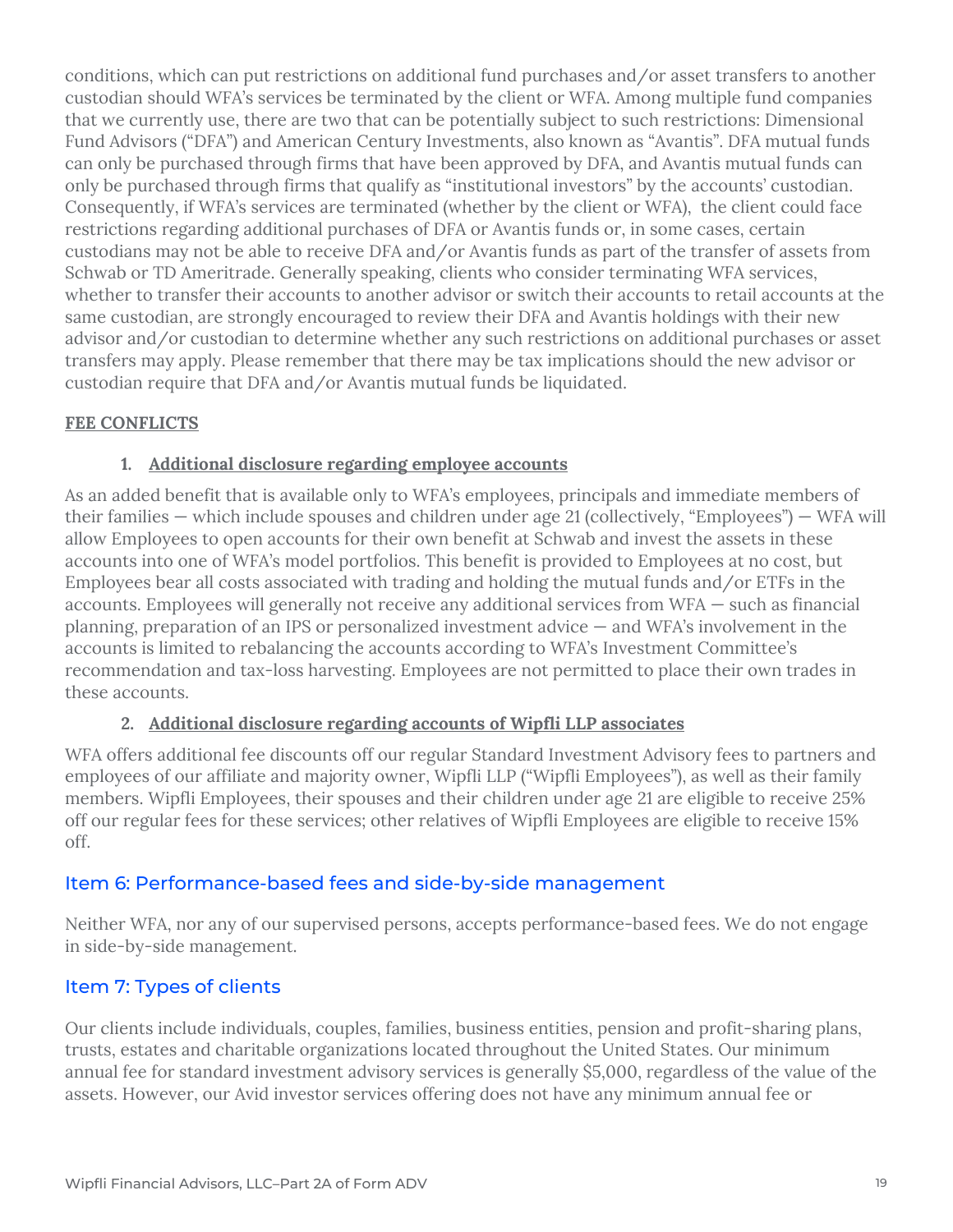conditions, which can put restrictions on additional fund purchases and/or asset transfers to another custodian should WFA's services be terminated by the client or WFA. Among multiple fund companies that we currently use, there are two that can be potentially subject to such restrictions: Dimensional Fund Advisors ("DFA") and American Century Investments, also known as "Avantis". DFA mutual funds can only be purchased through firms that have been approved by DFA, and Avantis mutual funds can only be purchased through firms that qualify as "institutional investors" by the accounts' custodian. Consequently, if WFA's services are terminated (whether by the client or WFA), the client could face restrictions regarding additional purchases of DFA or Avantis funds or, in some cases, certain custodians may not be able to receive DFA and/or Avantis funds as part of the transfer of assets from Schwab or TD Ameritrade. Generally speaking, clients who consider terminating WFA services, whether to transfer their accounts to another advisor or switch their accounts to retail accounts at the same custodian, are strongly encouraged to review their DFA and Avantis holdings with their new advisor and/or custodian to determine whether any such restrictions on additional purchases or asset transfers may apply. Please remember that there may be tax implications should the new advisor or custodian require that DFA and/or Avantis mutual funds be liquidated.

#### **FEE CONFLICTS**

#### **1. Additional disclosure regarding employee accounts**

As an added benefit that is available only to WFA's employees, principals and immediate members of their families — which include spouses and children under age 21 (collectively, "Employees") — WFA will allow Employees to open accounts for their own benefit at Schwab and invest the assets in these accounts into one of WFA's model portfolios. This benefit is provided to Employees at no cost, but Employees bear all costs associated with trading and holding the mutual funds and/or ETFs in the accounts. Employees will generally not receive any additional services from WFA — such as financial planning, preparation of an IPS or personalized investment advice — and WFA's involvement in the accounts is limited to rebalancing the accounts according to WFA's Investment Committee's recommendation and tax-loss harvesting. Employees are not permitted to place their own trades in these accounts.

#### **2. Additional disclosure regarding accounts of Wipfli LLP associates**

WFA offers additional fee discounts off our regular Standard Investment Advisory fees to partners and employees of our affiliate and majority owner, Wipfli LLP ("Wipfli Employees"), as well as their family members. Wipfli Employees, their spouses and their children under age 21 are eligible to receive 25% off our regular fees for these services; other relatives of Wipfli Employees are eligible to receive 15% off.

## Item 6: Performance-based fees and side-by-side management

Neither WFA, nor any of our supervised persons, accepts performance-based fees. We do not engage in side-by-side management.

## Item 7: Types of clients

Our clients include individuals, couples, families, business entities, pension and profit-sharing plans, trusts, estates and charitable organizations located throughout the United States. Our minimum annual fee for standard investment advisory services is generally \$5,000, regardless of the value of the assets. However, our Avid investor services offering does not have any minimum annual fee or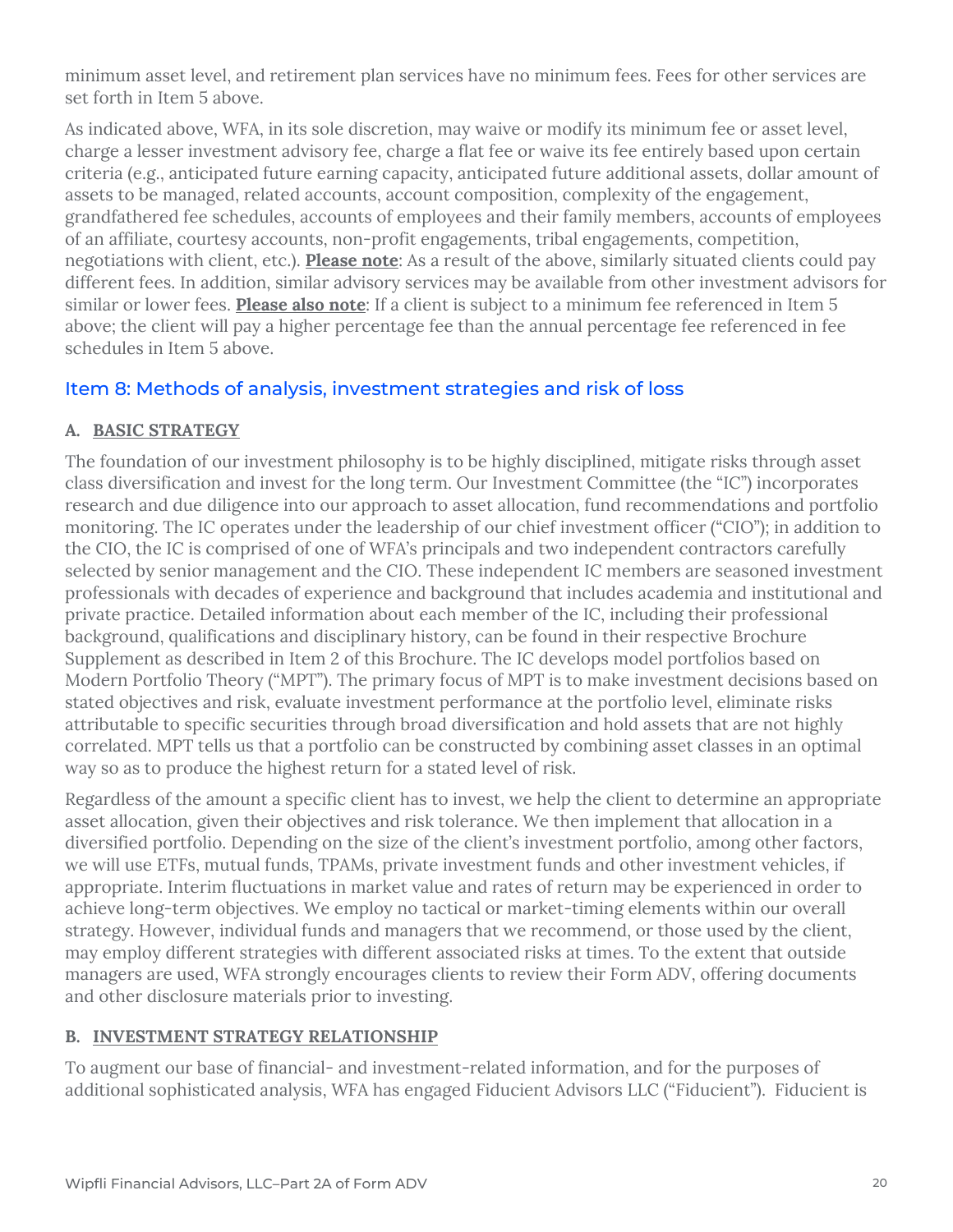minimum asset level, and retirement plan services have no minimum fees. Fees for other services are set forth in Item 5 above.

As indicated above, WFA, in its sole discretion, may waive or modify its minimum fee or asset level, charge a lesser investment advisory fee, charge a flat fee or waive its fee entirely based upon certain criteria (e.g., anticipated future earning capacity, anticipated future additional assets, dollar amount of assets to be managed, related accounts, account composition, complexity of the engagement, grandfathered fee schedules, accounts of employees and their family members, accounts of employees of an affiliate, courtesy accounts, non-profit engagements, tribal engagements, competition, negotiations with client, etc.). **Please note**: As a result of the above, similarly situated clients could pay different fees. In addition, similar advisory services may be available from other investment advisors for similar or lower fees. **Please also note**: If a client is subject to a minimum fee referenced in Item 5 above; the client will pay a higher percentage fee than the annual percentage fee referenced in fee schedules in Item 5 above.

## Item 8: Methods of analysis, investment strategies and risk of loss

## **A. BASIC STRATEGY**

The foundation of our investment philosophy is to be highly disciplined, mitigate risks through asset class diversification and invest for the long term. Our Investment Committee (the "IC") incorporates research and due diligence into our approach to asset allocation, fund recommendations and portfolio monitoring. The IC operates under the leadership of our chief investment officer ("CIO"); in addition to the CIO, the IC is comprised of one of WFA's principals and two independent contractors carefully selected by senior management and the CIO. These independent IC members are seasoned investment professionals with decades of experience and background that includes academia and institutional and private practice. Detailed information about each member of the IC, including their professional background, qualifications and disciplinary history, can be found in their respective Brochure Supplement as described in Item 2 of this Brochure. The IC develops model portfolios based on Modern Portfolio Theory ("MPT"). The primary focus of MPT is to make investment decisions based on stated objectives and risk, evaluate investment performance at the portfolio level, eliminate risks attributable to specific securities through broad diversification and hold assets that are not highly correlated. MPT tells us that a portfolio can be constructed by combining asset classes in an optimal way so as to produce the highest return for a stated level of risk.

Regardless of the amount a specific client has to invest, we help the client to determine an appropriate asset allocation, given their objectives and risk tolerance. We then implement that allocation in a diversified portfolio. Depending on the size of the client's investment portfolio, among other factors, we will use ETFs, mutual funds, TPAMs, private investment funds and other investment vehicles, if appropriate. Interim fluctuations in market value and rates of return may be experienced in order to achieve long-term objectives. We employ no tactical or market-timing elements within our overall strategy. However, individual funds and managers that we recommend, or those used by the client, may employ different strategies with different associated risks at times. To the extent that outside managers are used, WFA strongly encourages clients to review their Form ADV, offering documents and other disclosure materials prior to investing.

## **B. INVESTMENT STRATEGY RELATIONSHIP**

To augment our base of financial- and investment-related information, and for the purposes of additional sophisticated analysis, WFA has engaged Fiducient Advisors LLC ("Fiducient"). Fiducient is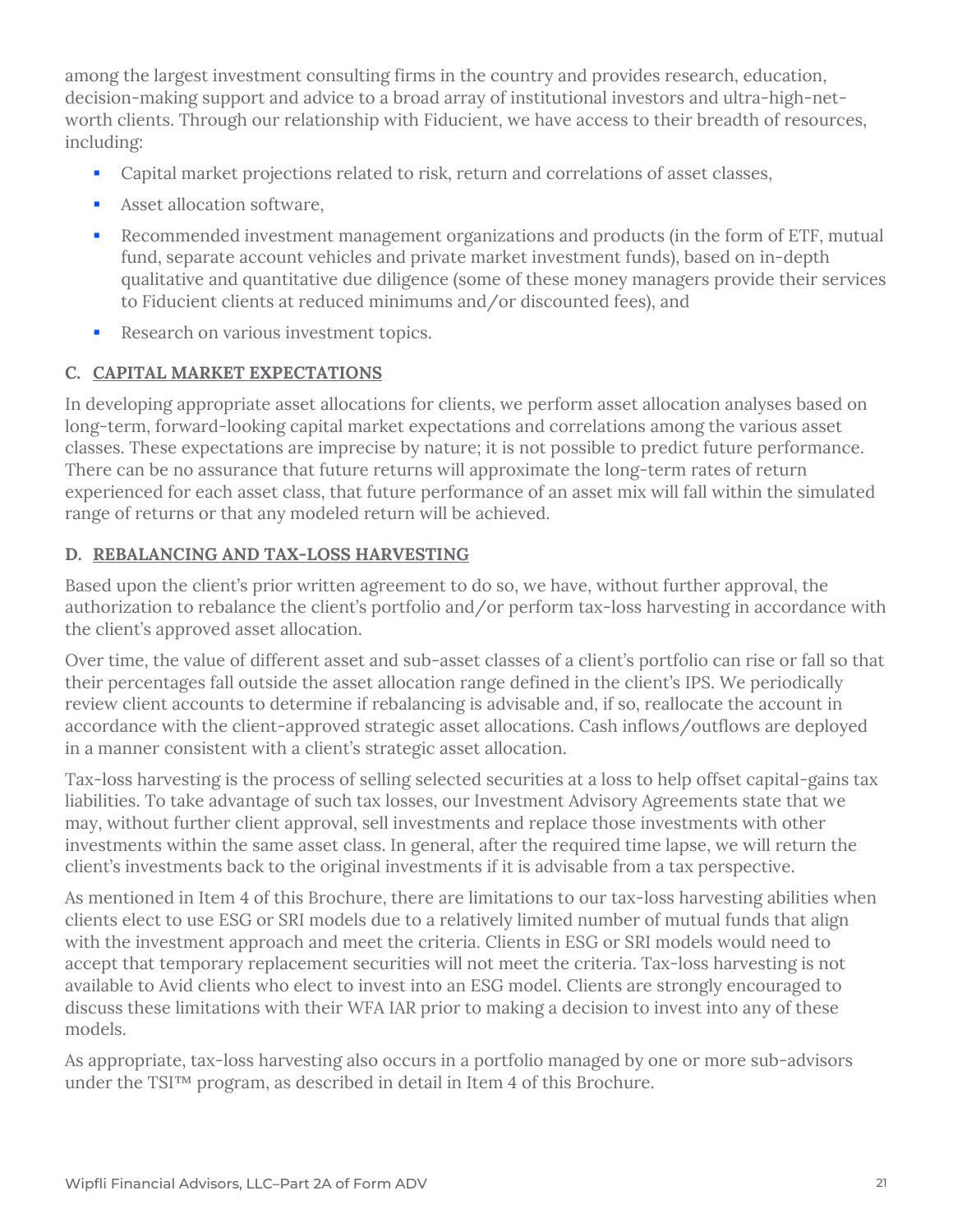among the largest investment consulting firms in the country and provides research, education, decision-making support and advice to a broad array of institutional investors and ultra-high-networth clients. Through our relationship with Fiducient, we have access to their breadth of resources, including:

- Capital market projections related to risk, return and correlations of asset classes,
- **Asset allocation software.**
- Recommended investment management organizations and products (in the form of ETF, mutual fund, separate account vehicles and private market investment funds), based on in-depth qualitative and quantitative due diligence (some of these money managers provide their services to Fiducient clients at reduced minimums and/or discounted fees), and
- Research on various investment topics.

## **C. CAPITAL MARKET EXPECTATIONS**

In developing appropriate asset allocations for clients, we perform asset allocation analyses based on long-term, forward-looking capital market expectations and correlations among the various asset classes. These expectations are imprecise by nature; it is not possible to predict future performance. There can be no assurance that future returns will approximate the long-term rates of return experienced for each asset class, that future performance of an asset mix will fall within the simulated range of returns or that any modeled return will be achieved.

## **D. REBALANCING AND TAX-LOSS HARVESTING**

Based upon the client's prior written agreement to do so, we have, without further approval, the authorization to rebalance the client's portfolio and/or perform tax-loss harvesting in accordance with the client's approved asset allocation.

Over time, the value of different asset and sub-asset classes of a client's portfolio can rise or fall so that their percentages fall outside the asset allocation range defined in the client's IPS. We periodically review client accounts to determine if rebalancing is advisable and, if so, reallocate the account in accordance with the client-approved strategic asset allocations. Cash inflows/outflows are deployed in a manner consistent with a client's strategic asset allocation.

Tax-loss harvesting is the process of selling selected securities at a loss to help offset capital-gains tax liabilities. To take advantage of such tax losses, our Investment Advisory Agreements state that we may, without further client approval, sell investments and replace those investments with other investments within the same asset class. In general, after the required time lapse, we will return the client's investments back to the original investments if it is advisable from a tax perspective.

As mentioned in Item 4 of this Brochure, there are limitations to our tax-loss harvesting abilities when clients elect to use ESG or SRI models due to a relatively limited number of mutual funds that align with the investment approach and meet the criteria. Clients in ESG or SRI models would need to accept that temporary replacement securities will not meet the criteria. Tax-loss harvesting is not available to Avid clients who elect to invest into an ESG model. Clients are strongly encouraged to discuss these limitations with their WFA IAR prior to making a decision to invest into any of these models.

As appropriate, tax-loss harvesting also occurs in a portfolio managed by one or more sub-advisors under the TSI™ program, as described in detail in Item 4 of this Brochure.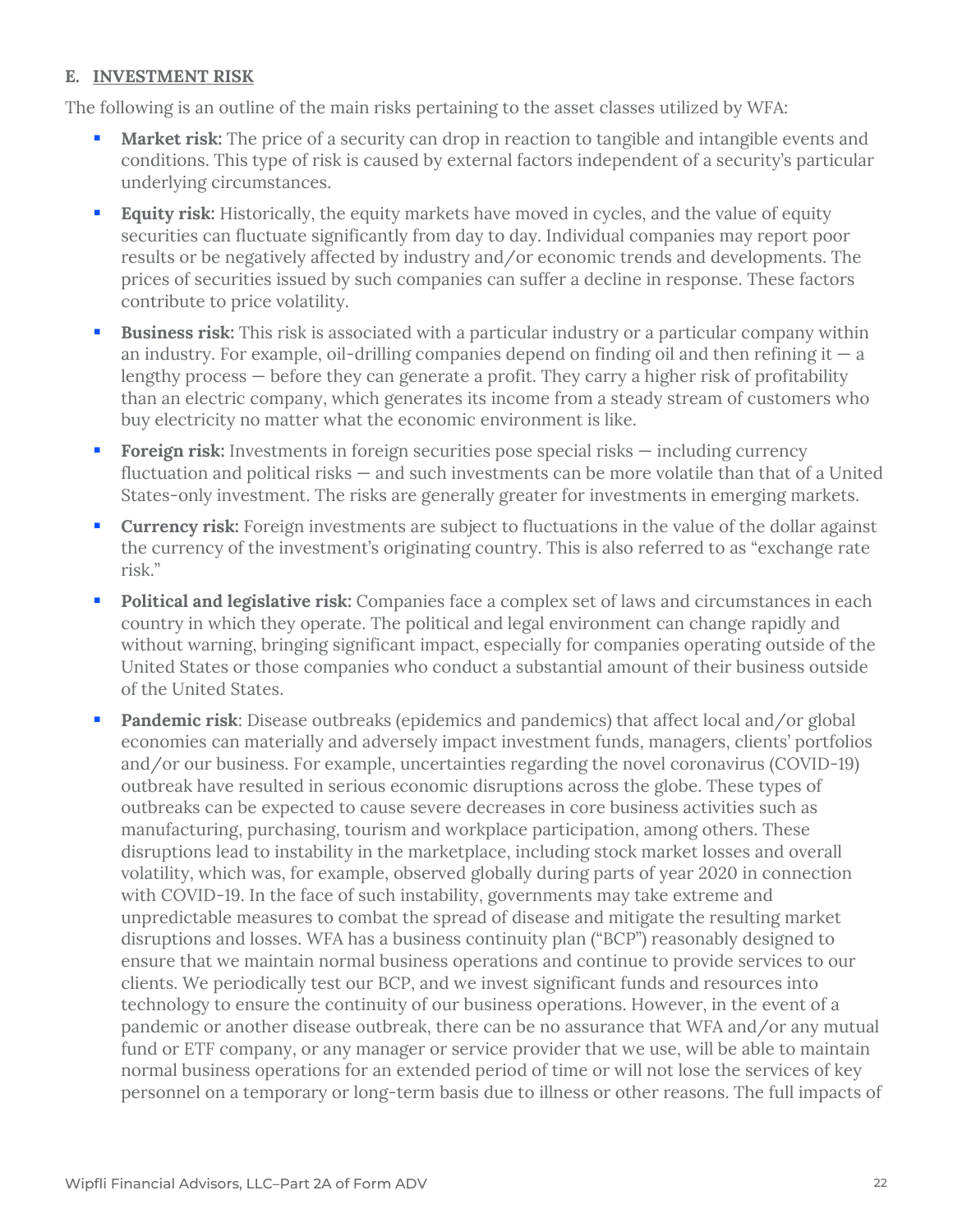#### **E. INVESTMENT RISK**

The following is an outline of the main risks pertaining to the asset classes utilized by WFA:

- **Market risk:** The price of a security can drop in reaction to tangible and intangible events and conditions. This type of risk is caused by external factors independent of a security's particular underlying circumstances.
- **Equity risk:** Historically, the equity markets have moved in cycles, and the value of equity securities can fluctuate significantly from day to day. Individual companies may report poor results or be negatively affected by industry and/or economic trends and developments. The prices of securities issued by such companies can suffer a decline in response. These factors contribute to price volatility.
- **Business risk:** This risk is associated with a particular industry or a particular company within an industry. For example, oil-drilling companies depend on finding oil and then refining it  $-$  a lengthy process — before they can generate a profit. They carry a higher risk of profitability than an electric company, which generates its income from a steady stream of customers who buy electricity no matter what the economic environment is like.
- **Foreign risk:** Investments in foreign securities pose special risks including currency fluctuation and political risks — and such investments can be more volatile than that of a United States-only investment. The risks are generally greater for investments in emerging markets.
- **Currency risk:** Foreign investments are subject to fluctuations in the value of the dollar against the currency of the investment's originating country. This is also referred to as "exchange rate risk."
- **Political and legislative risk:** Companies face a complex set of laws and circumstances in each country in which they operate. The political and legal environment can change rapidly and without warning, bringing significant impact, especially for companies operating outside of the United States or those companies who conduct a substantial amount of their business outside of the United States.
- **Pandemic risk**: Disease outbreaks (epidemics and pandemics) that affect local and/or global economies can materially and adversely impact investment funds, managers, clients' portfolios and/or our business. For example, uncertainties regarding the novel coronavirus (COVID-19) outbreak have resulted in serious economic disruptions across the globe. These types of outbreaks can be expected to cause severe decreases in core business activities such as manufacturing, purchasing, tourism and workplace participation, among others. These disruptions lead to instability in the marketplace, including stock market losses and overall volatility, which was, for example, observed globally during parts of year 2020 in connection with COVID-19. In the face of such instability, governments may take extreme and unpredictable measures to combat the spread of disease and mitigate the resulting market disruptions and losses. WFA has a business continuity plan ("BCP") reasonably designed to ensure that we maintain normal business operations and continue to provide services to our clients. We periodically test our BCP, and we invest significant funds and resources into technology to ensure the continuity of our business operations. However, in the event of a pandemic or another disease outbreak, there can be no assurance that WFA and/or any mutual fund or ETF company, or any manager or service provider that we use, will be able to maintain normal business operations for an extended period of time or will not lose the services of key personnel on a temporary or long-term basis due to illness or other reasons. The full impacts of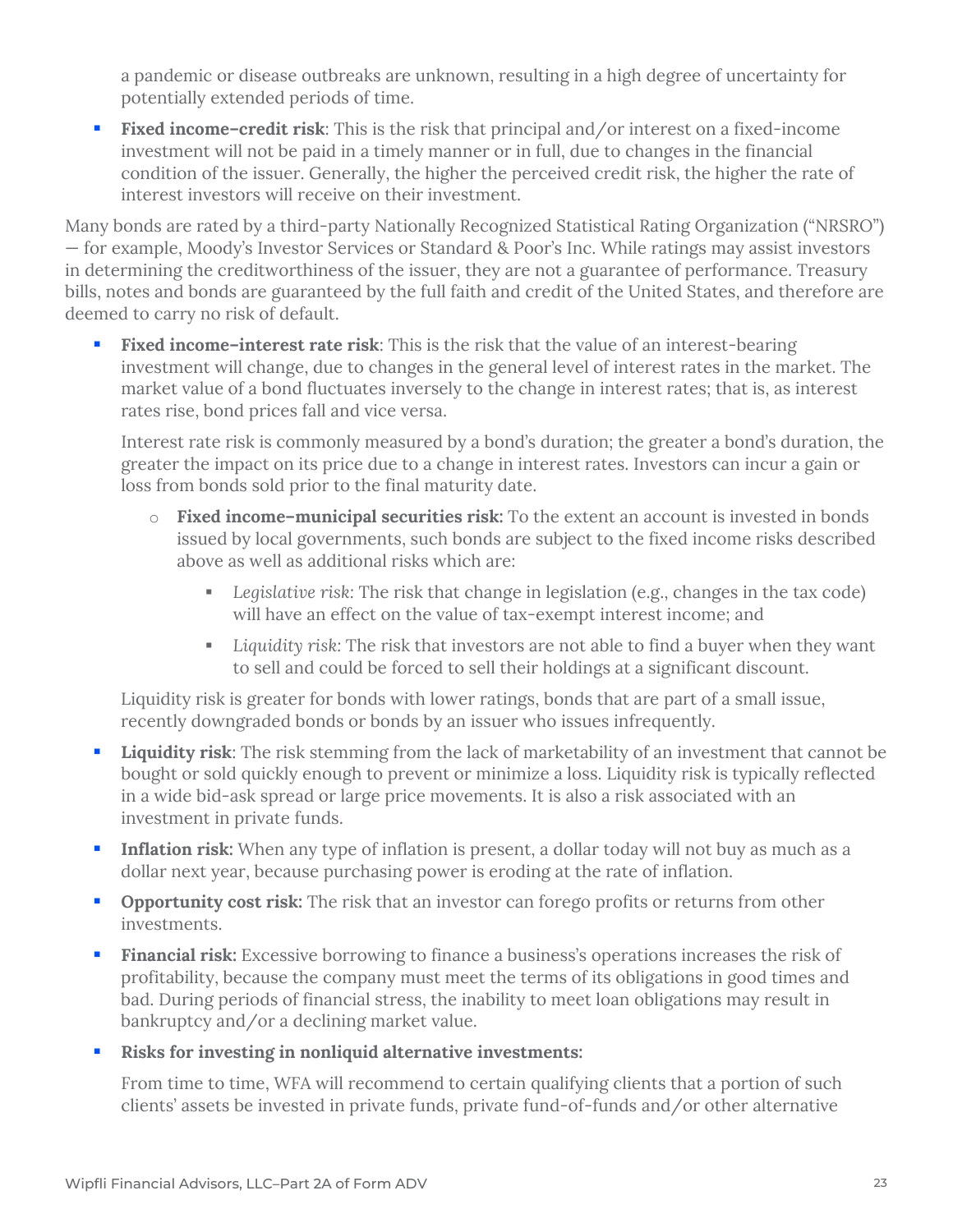a pandemic or disease outbreaks are unknown, resulting in a high degree of uncertainty for potentially extended periods of time.

**Fixed income-credit risk**: This is the risk that principal and/or interest on a fixed-income investment will not be paid in a timely manner or in full, due to changes in the financial condition of the issuer. Generally, the higher the perceived credit risk, the higher the rate of interest investors will receive on their investment.

Many bonds are rated by a third-party Nationally Recognized Statistical Rating Organization ("NRSRO") — for example, Moody's Investor Services or Standard & Poor's Inc. While ratings may assist investors in determining the creditworthiness of the issuer, they are not a guarantee of performance. Treasury bills, notes and bonds are guaranteed by the full faith and credit of the United States, and therefore are deemed to carry no risk of default.

**Fixed income-interest rate risk**: This is the risk that the value of an interest-bearing investment will change, due to changes in the general level of interest rates in the market. The market value of a bond fluctuates inversely to the change in interest rates; that is, as interest rates rise, bond prices fall and vice versa.

Interest rate risk is commonly measured by a bond's duration; the greater a bond's duration, the greater the impact on its price due to a change in interest rates. Investors can incur a gain or loss from bonds sold prior to the final maturity date.

- o **Fixed income–municipal securities risk:** To the extent an account is invested in bonds issued by local governments, such bonds are subject to the fixed income risks described above as well as additional risks which are:
	- *Legislative risk:* The risk that change in legislation (e.g., changes in the tax code) will have an effect on the value of tax-exempt interest income; and
	- *Liquidity risk:* The risk that investors are not able to find a buyer when they want to sell and could be forced to sell their holdings at a significant discount.

Liquidity risk is greater for bonds with lower ratings, bonds that are part of a small issue, recently downgraded bonds or bonds by an issuer who issues infrequently.

- **Liquidity risk**: The risk stemming from the lack of marketability of an investment that cannot be bought or sold quickly enough to prevent or minimize a loss. Liquidity risk is typically reflected in a wide bid-ask spread or large price movements. It is also a risk associated with an investment in private funds.
- **Inflation risk:** When any type of inflation is present, a dollar today will not buy as much as a dollar next year, because purchasing power is eroding at the rate of inflation.
- **Opportunity cost risk:** The risk that an investor can forego profits or returns from other investments.
- **Financial risk:** Excessive borrowing to finance a business's operations increases the risk of profitability, because the company must meet the terms of its obligations in good times and bad. During periods of financial stress, the inability to meet loan obligations may result in bankruptcy and/or a declining market value.
- **Risks for investing in nonliquid alternative investments:**

From time to time, WFA will recommend to certain qualifying clients that a portion of such clients' assets be invested in private funds, private fund-of-funds and/or other alternative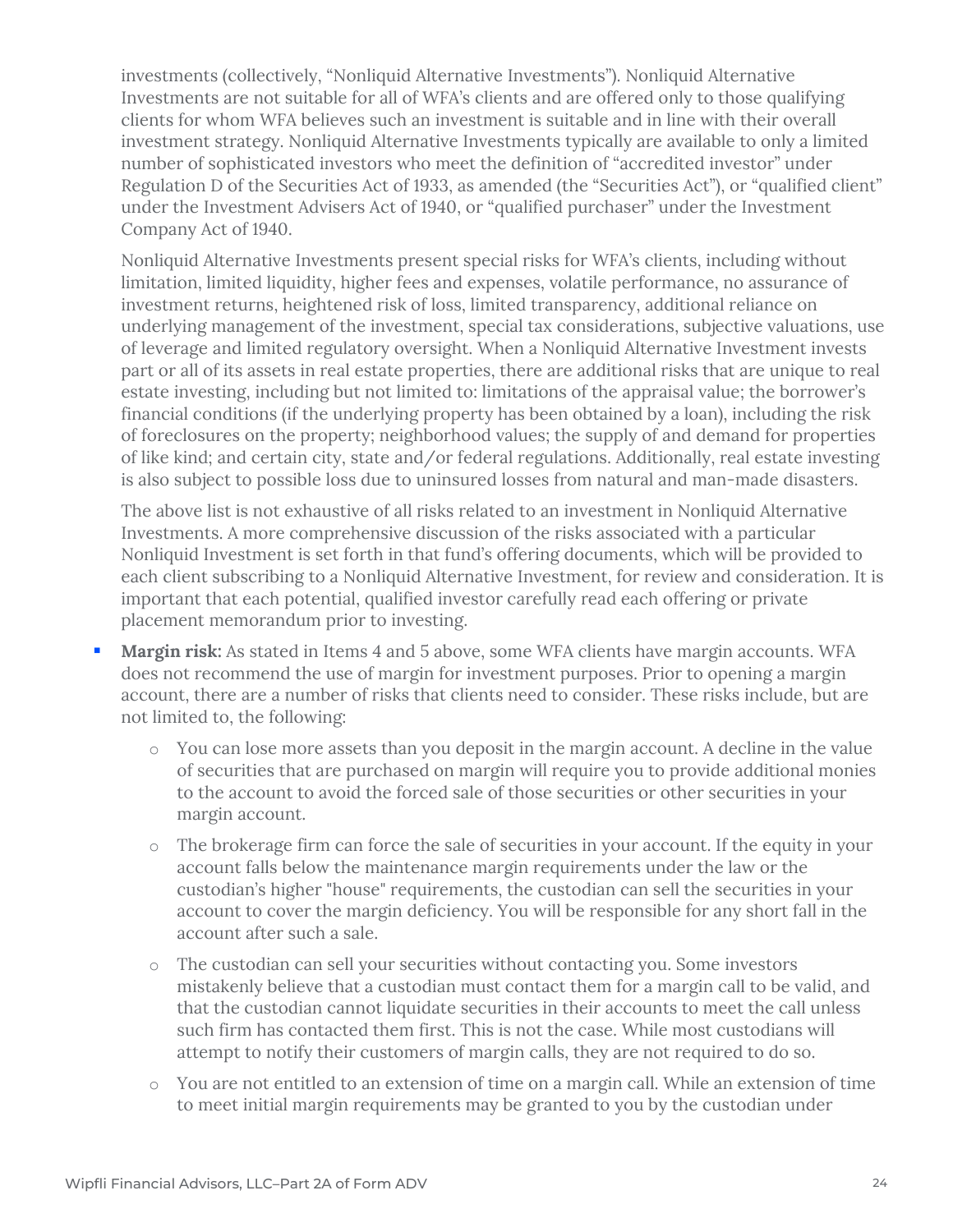investments (collectively, "Nonliquid Alternative Investments"). Nonliquid Alternative Investments are not suitable for all of WFA's clients and are offered only to those qualifying clients for whom WFA believes such an investment is suitable and in line with their overall investment strategy. Nonliquid Alternative Investments typically are available to only a limited number of sophisticated investors who meet the definition of "accredited investor" under Regulation D of the Securities Act of 1933, as amended (the "Securities Act"), or "qualified client" under the Investment Advisers Act of 1940, or "qualified purchaser" under the Investment Company Act of 1940.

Nonliquid Alternative Investments present special risks for WFA's clients, including without limitation, limited liquidity, higher fees and expenses, volatile performance, no assurance of investment returns, heightened risk of loss, limited transparency, additional reliance on underlying management of the investment, special tax considerations, subjective valuations, use of leverage and limited regulatory oversight. When a Nonliquid Alternative Investment invests part or all of its assets in real estate properties, there are additional risks that are unique to real estate investing, including but not limited to: limitations of the appraisal value; the borrower's financial conditions (if the underlying property has been obtained by a loan), including the risk of foreclosures on the property; neighborhood values; the supply of and demand for properties of like kind; and certain city, state and/or federal regulations. Additionally, real estate investing is also subject to possible loss due to uninsured losses from natural and man-made disasters.

The above list is not exhaustive of all risks related to an investment in Nonliquid Alternative Investments. A more comprehensive discussion of the risks associated with a particular Nonliquid Investment is set forth in that fund's offering documents, which will be provided to each client subscribing to a Nonliquid Alternative Investment, for review and consideration. It is important that each potential, qualified investor carefully read each offering or private placement memorandum prior to investing.

- **Margin risk:** As stated in Items 4 and 5 above, some WFA clients have margin accounts. WFA does not recommend the use of margin for investment purposes. Prior to opening a margin account, there are a number of risks that clients need to consider. These risks include, but are not limited to, the following:
	- o You can lose more assets than you deposit in the margin account. A decline in the value of securities that are purchased on margin will require you to provide additional monies to the account to avoid the forced sale of those securities or other securities in your margin account.
	- o The brokerage firm can force the sale of securities in your account. If the equity in your account falls below the maintenance margin requirements under the law or the custodian's higher "house" requirements, the custodian can sell the securities in your account to cover the margin deficiency. You will be responsible for any short fall in the account after such a sale.
	- o The custodian can sell your securities without contacting you. Some investors mistakenly believe that a custodian must contact them for a margin call to be valid, and that the custodian cannot liquidate securities in their accounts to meet the call unless such firm has contacted them first. This is not the case. While most custodians will attempt to notify their customers of margin calls, they are not required to do so.
	- o You are not entitled to an extension of time on a margin call. While an extension of time to meet initial margin requirements may be granted to you by the custodian under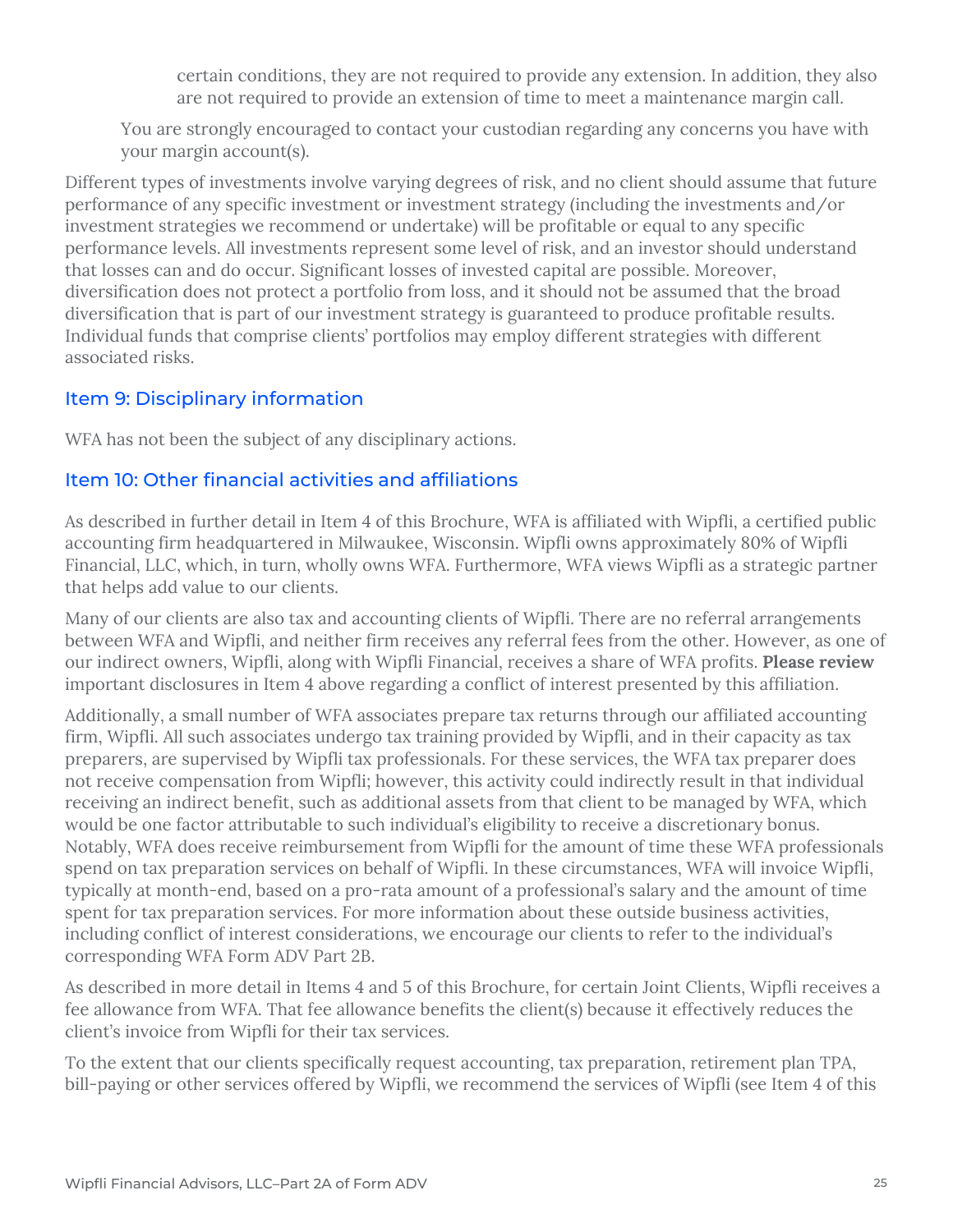certain conditions, they are not required to provide any extension. In addition, they also are not required to provide an extension of time to meet a maintenance margin call.

You are strongly encouraged to contact your custodian regarding any concerns you have with your margin account(s).

Different types of investments involve varying degrees of risk, and no client should assume that future performance of any specific investment or investment strategy (including the investments and/or investment strategies we recommend or undertake) will be profitable or equal to any specific performance levels. All investments represent some level of risk, and an investor should understand that losses can and do occur. Significant losses of invested capital are possible. Moreover, diversification does not protect a portfolio from loss, and it should not be assumed that the broad diversification that is part of our investment strategy is guaranteed to produce profitable results. Individual funds that comprise clients' portfolios may employ different strategies with different associated risks.

## Item 9: Disciplinary information

WFA has not been the subject of any disciplinary actions.

## Item 10: Other financial activities and affiliations

As described in further detail in Item 4 of this Brochure, WFA is affiliated with Wipfli, a certified public accounting firm headquartered in Milwaukee, Wisconsin. Wipfli owns approximately 80% of Wipfli Financial, LLC, which, in turn, wholly owns WFA. Furthermore, WFA views Wipfli as a strategic partner that helps add value to our clients.

Many of our clients are also tax and accounting clients of Wipfli. There are no referral arrangements between WFA and Wipfli, and neither firm receives any referral fees from the other. However, as one of our indirect owners, Wipfli, along with Wipfli Financial, receives a share of WFA profits. **Please review** important disclosures in Item 4 above regarding a conflict of interest presented by this affiliation.

Additionally, a small number of WFA associates prepare tax returns through our affiliated accounting firm, Wipfli. All such associates undergo tax training provided by Wipfli, and in their capacity as tax preparers, are supervised by Wipfli tax professionals. For these services, the WFA tax preparer does not receive compensation from Wipfli; however, this activity could indirectly result in that individual receiving an indirect benefit, such as additional assets from that client to be managed by WFA, which would be one factor attributable to such individual's eligibility to receive a discretionary bonus. Notably, WFA does receive reimbursement from Wipfli for the amount of time these WFA professionals spend on tax preparation services on behalf of Wipfli. In these circumstances, WFA will invoice Wipfli, typically at month-end, based on a pro-rata amount of a professional's salary and the amount of time spent for tax preparation services. For more information about these outside business activities, including conflict of interest considerations, we encourage our clients to refer to the individual's corresponding WFA Form ADV Part 2B.

As described in more detail in Items 4 and 5 of this Brochure, for certain Joint Clients, Wipfli receives a fee allowance from WFA. That fee allowance benefits the client(s) because it effectively reduces the client's invoice from Wipfli for their tax services.

To the extent that our clients specifically request accounting, tax preparation, retirement plan TPA, bill-paying or other services offered by Wipfli, we recommend the services of Wipfli (see Item 4 of this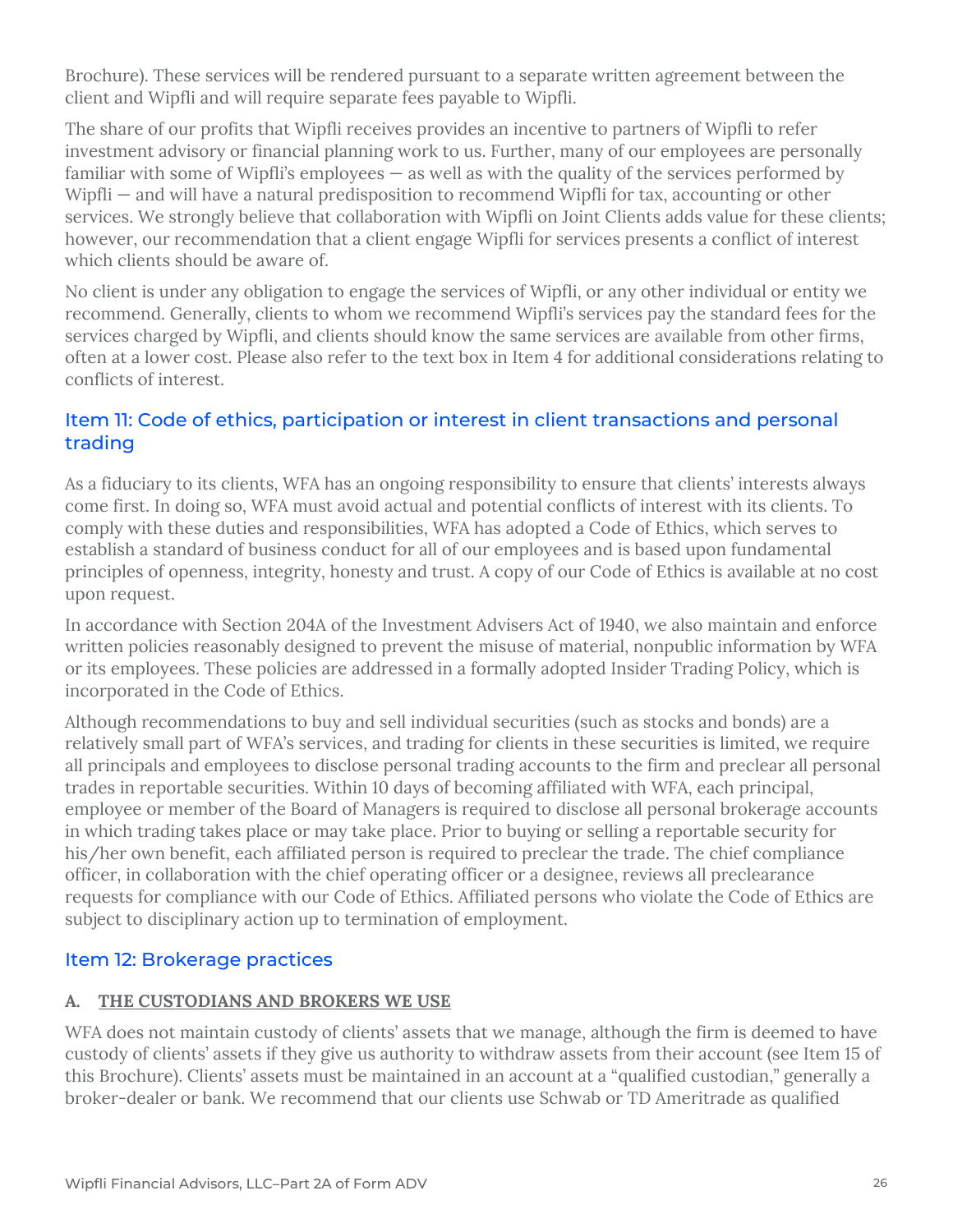Brochure). These services will be rendered pursuant to a separate written agreement between the client and Wipfli and will require separate fees payable to Wipfli.

The share of our profits that Wipfli receives provides an incentive to partners of Wipfli to refer investment advisory or financial planning work to us. Further, many of our employees are personally familiar with some of Wipfli's employees  $-$  as well as with the quality of the services performed by Wipfli — and will have a natural predisposition to recommend Wipfli for tax, accounting or other services. We strongly believe that collaboration with Wipfli on Joint Clients adds value for these clients; however, our recommendation that a client engage Wipfli for services presents a conflict of interest which clients should be aware of.

No client is under any obligation to engage the services of Wipfli, or any other individual or entity we recommend. Generally, clients to whom we recommend Wipfli's services pay the standard fees for the services charged by Wipfli, and clients should know the same services are available from other firms, often at a lower cost. Please also refer to the text box in Item 4 for additional considerations relating to conflicts of interest.

## Item 11: Code of ethics, participation or interest in client transactions and personal trading

As a fiduciary to its clients, WFA has an ongoing responsibility to ensure that clients' interests always come first. In doing so, WFA must avoid actual and potential conflicts of interest with its clients. To comply with these duties and responsibilities, WFA has adopted a Code of Ethics, which serves to establish a standard of business conduct for all of our employees and is based upon fundamental principles of openness, integrity, honesty and trust. A copy of our Code of Ethics is available at no cost upon request.

In accordance with Section 204A of the Investment Advisers Act of 1940, we also maintain and enforce written policies reasonably designed to prevent the misuse of material, nonpublic information by WFA or its employees. These policies are addressed in a formally adopted Insider Trading Policy, which is incorporated in the Code of Ethics.

Although recommendations to buy and sell individual securities (such as stocks and bonds) are a relatively small part of WFA's services, and trading for clients in these securities is limited, we require all principals and employees to disclose personal trading accounts to the firm and preclear all personal trades in reportable securities. Within 10 days of becoming affiliated with WFA, each principal, employee or member of the Board of Managers is required to disclose all personal brokerage accounts in which trading takes place or may take place. Prior to buying or selling a reportable security for his/her own benefit, each affiliated person is required to preclear the trade. The chief compliance officer, in collaboration with the chief operating officer or a designee, reviews all preclearance requests for compliance with our Code of Ethics. Affiliated persons who violate the Code of Ethics are subject to disciplinary action up to termination of employment.

## Item 12: Brokerage practices

## **A. THE CUSTODIANS AND BROKERS WE USE**

WFA does not maintain custody of clients' assets that we manage, although the firm is deemed to have custody of clients' assets if they give us authority to withdraw assets from their account (see Item 15 of this Brochure). Clients' assets must be maintained in an account at a "qualified custodian," generally a broker-dealer or bank. We recommend that our clients use Schwab or TD Ameritrade as qualified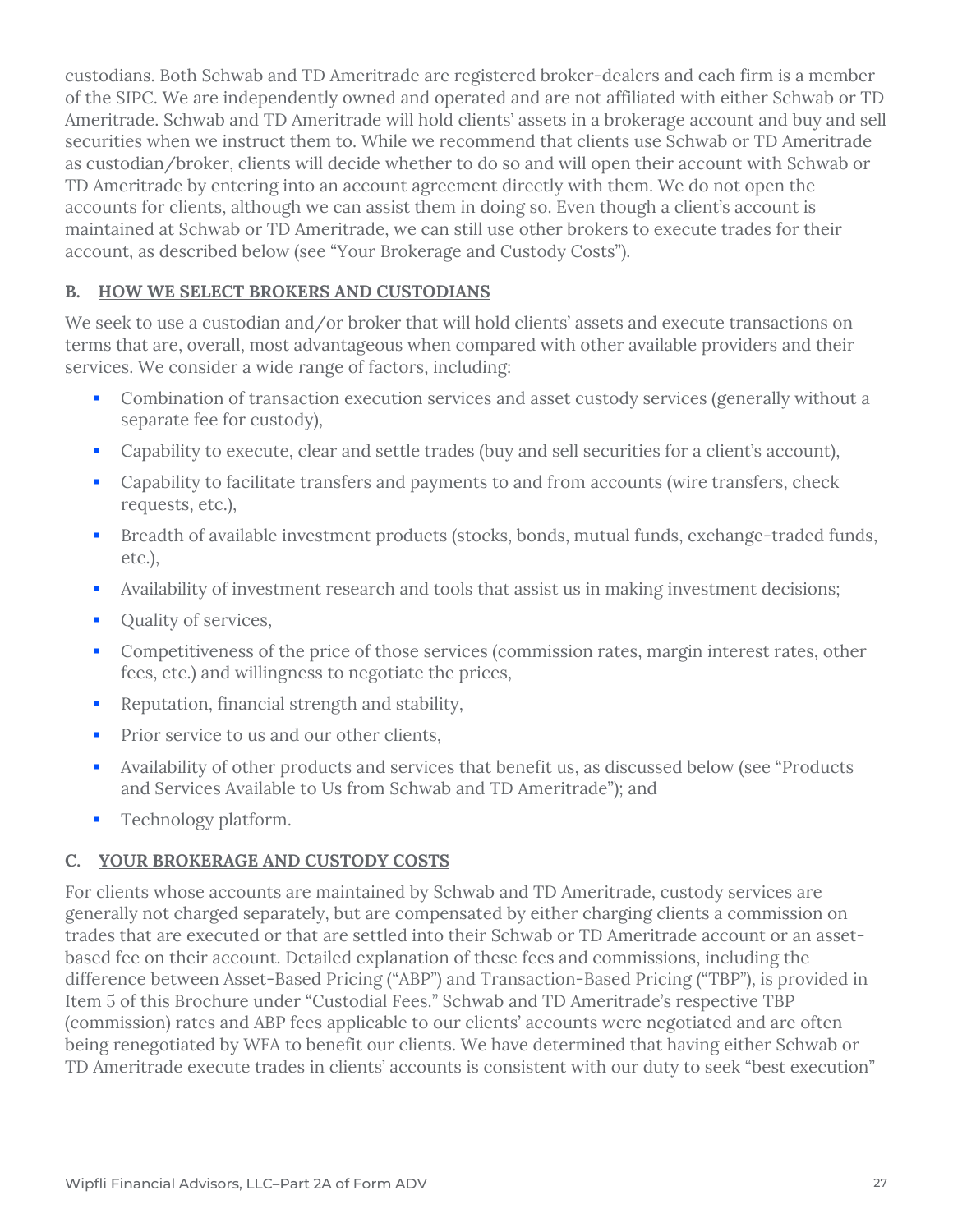custodians. Both Schwab and TD Ameritrade are registered broker-dealers and each firm is a member of the SIPC. We are independently owned and operated and are not affiliated with either Schwab or TD Ameritrade. Schwab and TD Ameritrade will hold clients' assets in a brokerage account and buy and sell securities when we instruct them to. While we recommend that clients use Schwab or TD Ameritrade as custodian/broker, clients will decide whether to do so and will open their account with Schwab or TD Ameritrade by entering into an account agreement directly with them. We do not open the accounts for clients, although we can assist them in doing so. Even though a client's account is maintained at Schwab or TD Ameritrade, we can still use other brokers to execute trades for their account, as described below (see "Your Brokerage and Custody Costs").

#### **B. HOW WE SELECT BROKERS AND CUSTODIANS**

We seek to use a custodian and/or broker that will hold clients' assets and execute transactions on terms that are, overall, most advantageous when compared with other available providers and their services. We consider a wide range of factors, including:

- Combination of transaction execution services and asset custody services (generally without a separate fee for custody),
- Capability to execute, clear and settle trades (buy and sell securities for a client's account),
- **Capability to facilitate transfers and payments to and from accounts (wire transfers, check** requests, etc.),
- Breadth of available investment products (stocks, bonds, mutual funds, exchange-traded funds, etc.),
- Availability of investment research and tools that assist us in making investment decisions;
- **•** Quality of services,
- Competitiveness of the price of those services (commission rates, margin interest rates, other fees, etc.) and willingness to negotiate the prices,
- **Reputation, financial strength and stability,**
- **Prior service to us and our other clients.**
- Availability of other products and services that benefit us, as discussed below (see "Products and Services Available to Us from Schwab and TD Ameritrade"); and
- **•** Technology platform.

## **C. YOUR BROKERAGE AND CUSTODY COSTS**

For clients whose accounts are maintained by Schwab and TD Ameritrade, custody services are generally not charged separately, but are compensated by either charging clients a commission on trades that are executed or that are settled into their Schwab or TD Ameritrade account or an assetbased fee on their account. Detailed explanation of these fees and commissions, including the difference between Asset-Based Pricing ("ABP") and Transaction-Based Pricing ("TBP"), is provided in Item 5 of this Brochure under "Custodial Fees." Schwab and TD Ameritrade's respective TBP (commission) rates and ABP fees applicable to our clients' accounts were negotiated and are often being renegotiated by WFA to benefit our clients. We have determined that having either Schwab or TD Ameritrade execute trades in clients' accounts is consistent with our duty to seek "best execution"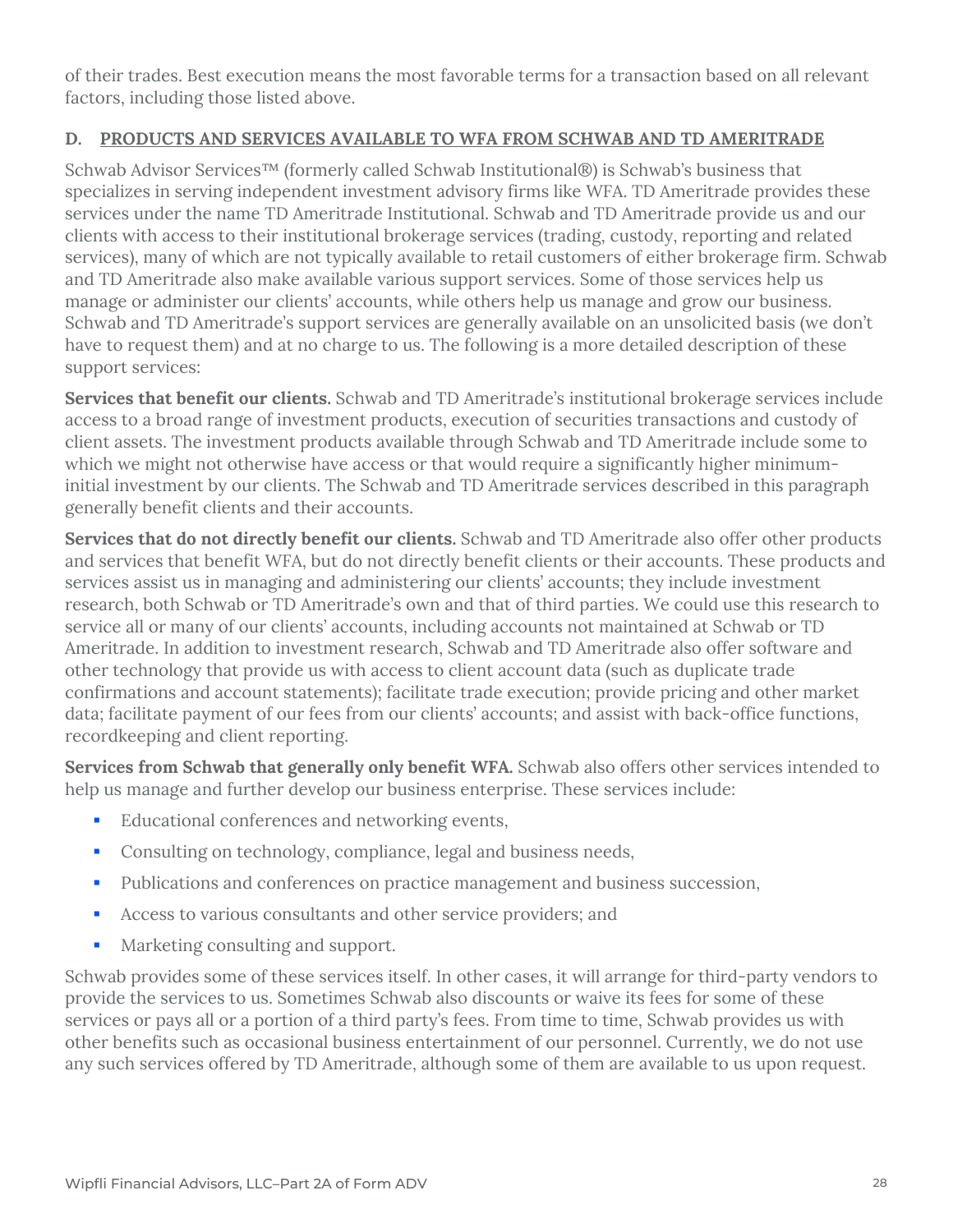of their trades. Best execution means the most favorable terms for a transaction based on all relevant factors, including those listed above.

## **D. PRODUCTS AND SERVICES AVAILABLE TO WFA FROM SCHWAB AND TD AMERITRADE**

Schwab Advisor Services™ (formerly called Schwab Institutional®) is Schwab's business that specializes in serving independent investment advisory firms like WFA. TD Ameritrade provides these services under the name TD Ameritrade Institutional. Schwab and TD Ameritrade provide us and our clients with access to their institutional brokerage services (trading, custody, reporting and related services), many of which are not typically available to retail customers of either brokerage firm. Schwab and TD Ameritrade also make available various support services. Some of those services help us manage or administer our clients' accounts, while others help us manage and grow our business. Schwab and TD Ameritrade's support services are generally available on an unsolicited basis (we don't have to request them) and at no charge to us. The following is a more detailed description of these support services:

**Services that benefit our clients.** Schwab and TD Ameritrade's institutional brokerage services include access to a broad range of investment products, execution of securities transactions and custody of client assets. The investment products available through Schwab and TD Ameritrade include some to which we might not otherwise have access or that would require a significantly higher minimuminitial investment by our clients. The Schwab and TD Ameritrade services described in this paragraph generally benefit clients and their accounts.

**Services that do not directly benefit our clients.** Schwab and TD Ameritrade also offer other products and services that benefit WFA, but do not directly benefit clients or their accounts. These products and services assist us in managing and administering our clients' accounts; they include investment research, both Schwab or TD Ameritrade's own and that of third parties. We could use this research to service all or many of our clients' accounts, including accounts not maintained at Schwab or TD Ameritrade. In addition to investment research, Schwab and TD Ameritrade also offer software and other technology that provide us with access to client account data (such as duplicate trade confirmations and account statements); facilitate trade execution; provide pricing and other market data; facilitate payment of our fees from our clients' accounts; and assist with back-office functions, recordkeeping and client reporting.

**Services from Schwab that generally only benefit WFA.** Schwab also offers other services intended to help us manage and further develop our business enterprise. These services include:

- Educational conferences and networking events,
- **Consulting on technology, compliance, legal and business needs,**
- **Publications and conferences on practice management and business succession,**
- Access to various consultants and other service providers; and
- **Marketing consulting and support.**

Schwab provides some of these services itself. In other cases, it will arrange for third-party vendors to provide the services to us. Sometimes Schwab also discounts or waive its fees for some of these services or pays all or a portion of a third party's fees. From time to time, Schwab provides us with other benefits such as occasional business entertainment of our personnel. Currently, we do not use any such services offered by TD Ameritrade, although some of them are available to us upon request.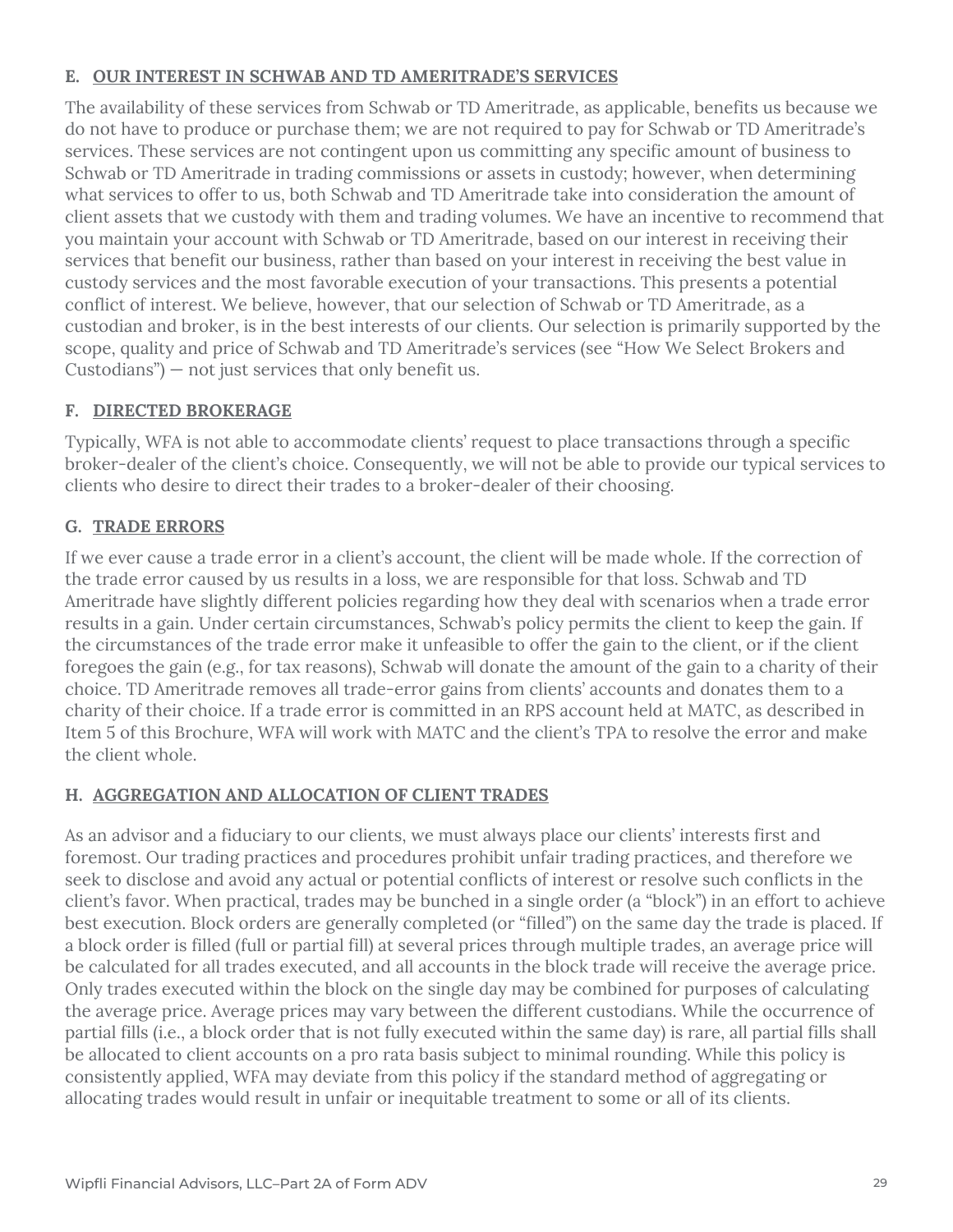### **E. OUR INTEREST IN SCHWAB AND TD AMERITRADE'S SERVICES**

The availability of these services from Schwab or TD Ameritrade, as applicable, benefits us because we do not have to produce or purchase them; we are not required to pay for Schwab or TD Ameritrade's services. These services are not contingent upon us committing any specific amount of business to Schwab or TD Ameritrade in trading commissions or assets in custody; however, when determining what services to offer to us, both Schwab and TD Ameritrade take into consideration the amount of client assets that we custody with them and trading volumes. We have an incentive to recommend that you maintain your account with Schwab or TD Ameritrade, based on our interest in receiving their services that benefit our business, rather than based on your interest in receiving the best value in custody services and the most favorable execution of your transactions. This presents a potential conflict of interest. We believe, however, that our selection of Schwab or TD Ameritrade, as a custodian and broker, is in the best interests of our clients. Our selection is primarily supported by the scope, quality and price of Schwab and TD Ameritrade's services (see "How We Select Brokers and Custodians") — not just services that only benefit us.

## **F. DIRECTED BROKERAGE**

Typically, WFA is not able to accommodate clients' request to place transactions through a specific broker-dealer of the client's choice. Consequently, we will not be able to provide our typical services to clients who desire to direct their trades to a broker-dealer of their choosing.

## **G. TRADE ERRORS**

If we ever cause a trade error in a client's account, the client will be made whole. If the correction of the trade error caused by us results in a loss, we are responsible for that loss. Schwab and TD Ameritrade have slightly different policies regarding how they deal with scenarios when a trade error results in a gain. Under certain circumstances, Schwab's policy permits the client to keep the gain. If the circumstances of the trade error make it unfeasible to offer the gain to the client, or if the client foregoes the gain (e.g., for tax reasons), Schwab will donate the amount of the gain to a charity of their choice. TD Ameritrade removes all trade-error gains from clients' accounts and donates them to a charity of their choice. If a trade error is committed in an RPS account held at MATC, as described in Item 5 of this Brochure, WFA will work with MATC and the client's TPA to resolve the error and make the client whole.

## **H. AGGREGATION AND ALLOCATION OF CLIENT TRADES**

As an advisor and a fiduciary to our clients, we must always place our clients' interests first and foremost. Our trading practices and procedures prohibit unfair trading practices, and therefore we seek to disclose and avoid any actual or potential conflicts of interest or resolve such conflicts in the client's favor. When practical, trades may be bunched in a single order (a "block") in an effort to achieve best execution. Block orders are generally completed (or "filled") on the same day the trade is placed. If a block order is filled (full or partial fill) at several prices through multiple trades, an average price will be calculated for all trades executed, and all accounts in the block trade will receive the average price. Only trades executed within the block on the single day may be combined for purposes of calculating the average price. Average prices may vary between the different custodians. While the occurrence of partial fills (i.e., a block order that is not fully executed within the same day) is rare, all partial fills shall be allocated to client accounts on a pro rata basis subject to minimal rounding. While this policy is consistently applied, WFA may deviate from this policy if the standard method of aggregating or allocating trades would result in unfair or inequitable treatment to some or all of its clients.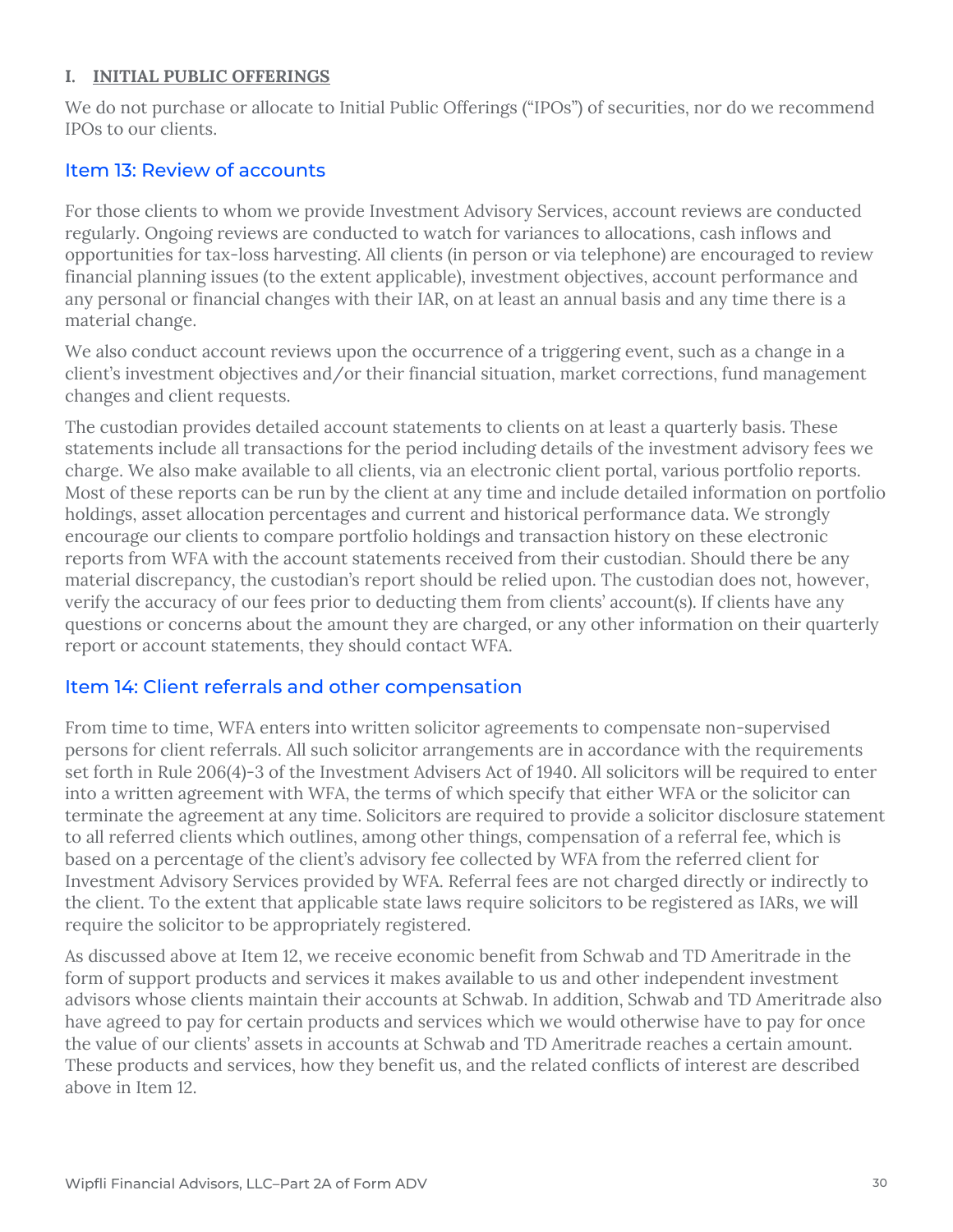#### **I. INITIAL PUBLIC OFFERINGS**

We do not purchase or allocate to Initial Public Offerings ("IPOs") of securities, nor do we recommend IPOs to our clients.

## Item 13: Review of accounts

For those clients to whom we provide Investment Advisory Services, account reviews are conducted regularly. Ongoing reviews are conducted to watch for variances to allocations, cash inflows and opportunities for tax-loss harvesting. All clients (in person or via telephone) are encouraged to review financial planning issues (to the extent applicable), investment objectives, account performance and any personal or financial changes with their IAR, on at least an annual basis and any time there is a material change.

We also conduct account reviews upon the occurrence of a triggering event, such as a change in a client's investment objectives and/or their financial situation, market corrections, fund management changes and client requests.

The custodian provides detailed account statements to clients on at least a quarterly basis. These statements include all transactions for the period including details of the investment advisory fees we charge. We also make available to all clients, via an electronic client portal, various portfolio reports. Most of these reports can be run by the client at any time and include detailed information on portfolio holdings, asset allocation percentages and current and historical performance data. We strongly encourage our clients to compare portfolio holdings and transaction history on these electronic reports from WFA with the account statements received from their custodian. Should there be any material discrepancy, the custodian's report should be relied upon. The custodian does not, however, verify the accuracy of our fees prior to deducting them from clients' account(s). If clients have any questions or concerns about the amount they are charged, or any other information on their quarterly report or account statements, they should contact WFA.

## Item 14: Client referrals and other compensation

From time to time, WFA enters into written solicitor agreements to compensate non-supervised persons for client referrals. All such solicitor arrangements are in accordance with the requirements set forth in Rule 206(4)-3 of the Investment Advisers Act of 1940. All solicitors will be required to enter into a written agreement with WFA, the terms of which specify that either WFA or the solicitor can terminate the agreement at any time. Solicitors are required to provide a solicitor disclosure statement to all referred clients which outlines, among other things, compensation of a referral fee, which is based on a percentage of the client's advisory fee collected by WFA from the referred client for Investment Advisory Services provided by WFA. Referral fees are not charged directly or indirectly to the client. To the extent that applicable state laws require solicitors to be registered as IARs, we will require the solicitor to be appropriately registered.

As discussed above at Item 12, we receive economic benefit from Schwab and TD Ameritrade in the form of support products and services it makes available to us and other independent investment advisors whose clients maintain their accounts at Schwab. In addition, Schwab and TD Ameritrade also have agreed to pay for certain products and services which we would otherwise have to pay for once the value of our clients' assets in accounts at Schwab and TD Ameritrade reaches a certain amount. These products and services, how they benefit us, and the related conflicts of interest are described above in Item 12.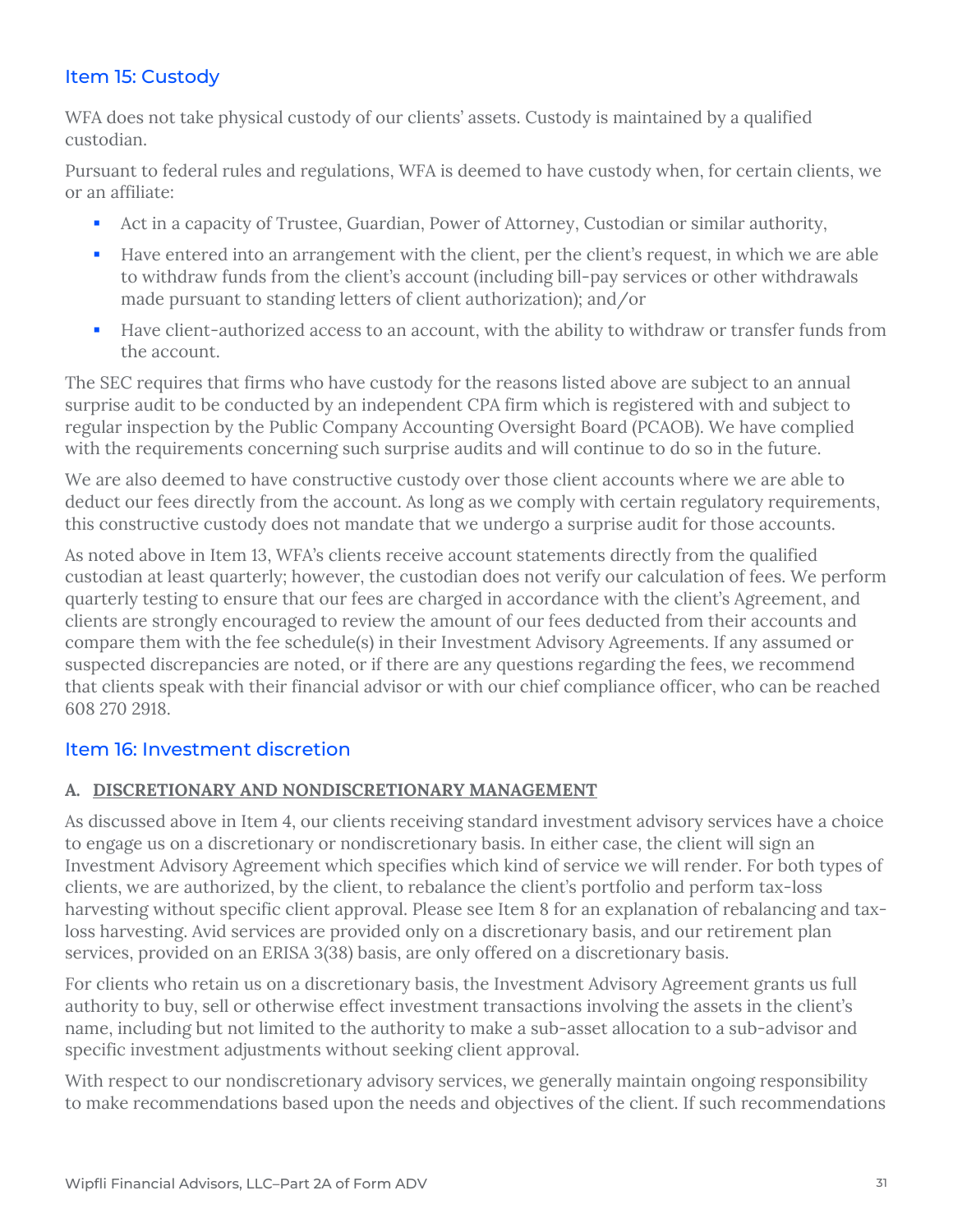## Item 15: Custody

WFA does not take physical custody of our clients' assets. Custody is maintained by a qualified custodian.

Pursuant to federal rules and regulations, WFA is deemed to have custody when, for certain clients, we or an affiliate:

- Act in a capacity of Trustee, Guardian, Power of Attorney, Custodian or similar authority,
- Have entered into an arrangement with the client, per the client's request, in which we are able to withdraw funds from the client's account (including bill-pay services or other withdrawals made pursuant to standing letters of client authorization); and/or
- Have client-authorized access to an account, with the ability to withdraw or transfer funds from the account.

The SEC requires that firms who have custody for the reasons listed above are subject to an annual surprise audit to be conducted by an independent CPA firm which is registered with and subject to regular inspection by the Public Company Accounting Oversight Board (PCAOB). We have complied with the requirements concerning such surprise audits and will continue to do so in the future.

We are also deemed to have constructive custody over those client accounts where we are able to deduct our fees directly from the account. As long as we comply with certain regulatory requirements, this constructive custody does not mandate that we undergo a surprise audit for those accounts.

As noted above in Item 13, WFA's clients receive account statements directly from the qualified custodian at least quarterly; however, the custodian does not verify our calculation of fees. We perform quarterly testing to ensure that our fees are charged in accordance with the client's Agreement, and clients are strongly encouraged to review the amount of our fees deducted from their accounts and compare them with the fee schedule(s) in their Investment Advisory Agreements. If any assumed or suspected discrepancies are noted, or if there are any questions regarding the fees, we recommend that clients speak with their financial advisor or with our chief compliance officer, who can be reached 608 270 2918.

## Item 16: Investment discretion

#### **A. DISCRETIONARY AND NONDISCRETIONARY MANAGEMENT**

As discussed above in Item 4, our clients receiving standard investment advisory services have a choice to engage us on a discretionary or nondiscretionary basis. In either case, the client will sign an Investment Advisory Agreement which specifies which kind of service we will render. For both types of clients, we are authorized, by the client, to rebalance the client's portfolio and perform tax-loss harvesting without specific client approval. Please see Item 8 for an explanation of rebalancing and taxloss harvesting. Avid services are provided only on a discretionary basis, and our retirement plan services, provided on an ERISA 3(38) basis, are only offered on a discretionary basis.

For clients who retain us on a discretionary basis, the Investment Advisory Agreement grants us full authority to buy, sell or otherwise effect investment transactions involving the assets in the client's name, including but not limited to the authority to make a sub-asset allocation to a sub-advisor and specific investment adjustments without seeking client approval.

With respect to our nondiscretionary advisory services, we generally maintain ongoing responsibility to make recommendations based upon the needs and objectives of the client. If such recommendations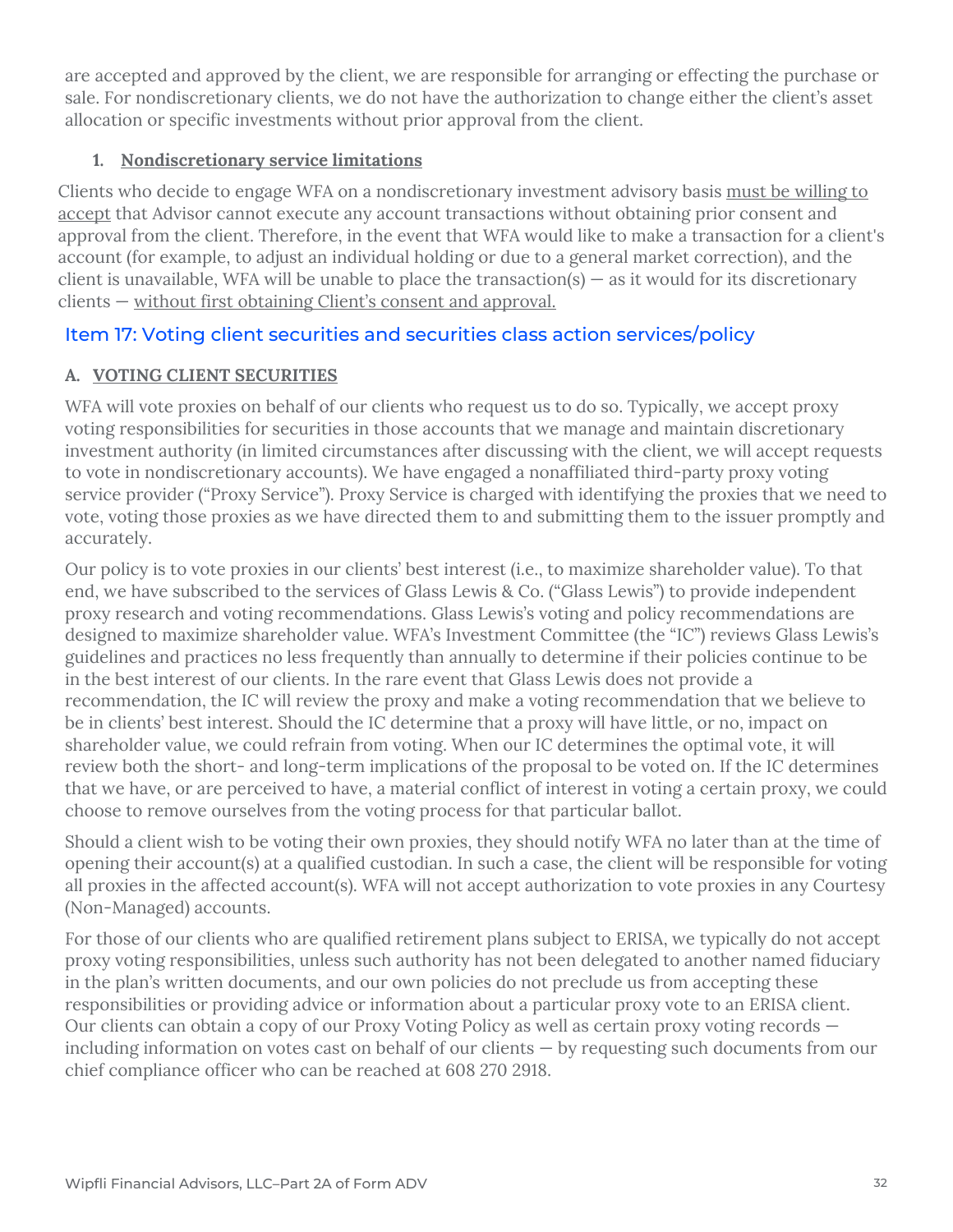are accepted and approved by the client, we are responsible for arranging or effecting the purchase or sale. For nondiscretionary clients, we do not have the authorization to change either the client's asset allocation or specific investments without prior approval from the client.

### **1. Nondiscretionary service limitations**

Clients who decide to engage WFA on a nondiscretionary investment advisory basis must be willing to accept that Advisor cannot execute any account transactions without obtaining prior consent and approval from the client. Therefore, in the event that WFA would like to make a transaction for a client's account (for example, to adjust an individual holding or due to a general market correction), and the client is unavailable, WFA will be unable to place the transaction(s)  $-$  as it would for its discretionary clients — without first obtaining Client's consent and approval.

## Item 17: Voting client securities and securities class action services/policy

## **A. VOTING CLIENT SECURITIES**

WFA will vote proxies on behalf of our clients who request us to do so. Typically, we accept proxy voting responsibilities for securities in those accounts that we manage and maintain discretionary investment authority (in limited circumstances after discussing with the client, we will accept requests to vote in nondiscretionary accounts). We have engaged a nonaffiliated third-party proxy voting service provider ("Proxy Service"). Proxy Service is charged with identifying the proxies that we need to vote, voting those proxies as we have directed them to and submitting them to the issuer promptly and accurately.

Our policy is to vote proxies in our clients' best interest (i.e., to maximize shareholder value). To that end, we have subscribed to the services of Glass Lewis & Co. ("Glass Lewis") to provide independent proxy research and voting recommendations. Glass Lewis's voting and policy recommendations are designed to maximize shareholder value. WFA's Investment Committee (the "IC") reviews Glass Lewis's guidelines and practices no less frequently than annually to determine if their policies continue to be in the best interest of our clients. In the rare event that Glass Lewis does not provide a recommendation, the IC will review the proxy and make a voting recommendation that we believe to be in clients' best interest. Should the IC determine that a proxy will have little, or no, impact on shareholder value, we could refrain from voting. When our IC determines the optimal vote, it will review both the short- and long-term implications of the proposal to be voted on. If the IC determines that we have, or are perceived to have, a material conflict of interest in voting a certain proxy, we could choose to remove ourselves from the voting process for that particular ballot.

Should a client wish to be voting their own proxies, they should notify WFA no later than at the time of opening their account(s) at a qualified custodian. In such a case, the client will be responsible for voting all proxies in the affected account(s). WFA will not accept authorization to vote proxies in any Courtesy (Non-Managed) accounts.

For those of our clients who are qualified retirement plans subject to ERISA, we typically do not accept proxy voting responsibilities, unless such authority has not been delegated to another named fiduciary in the plan's written documents, and our own policies do not preclude us from accepting these responsibilities or providing advice or information about a particular proxy vote to an ERISA client. Our clients can obtain a copy of our Proxy Voting Policy as well as certain proxy voting records including information on votes cast on behalf of our clients — by requesting such documents from our chief compliance officer who can be reached at 608 270 2918.